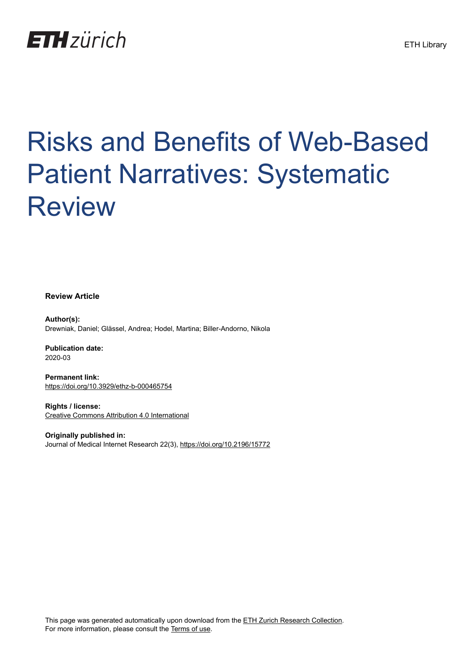

# Risks and Benefits of Web-Based Patient Narratives: Systematic Review

**Review Article**

**Author(s):** Drewniak, Daniel; Glässel, Andrea; Hodel, Martina; Biller-Andorno, Nikola

**Publication date:** 2020-03

**Permanent link:** <https://doi.org/10.3929/ethz-b-000465754>

**Rights / license:** [Creative Commons Attribution 4.0 International](http://creativecommons.org/licenses/by/4.0/)

**Originally published in:** Journal of Medical Internet Research 22(3),<https://doi.org/10.2196/15772>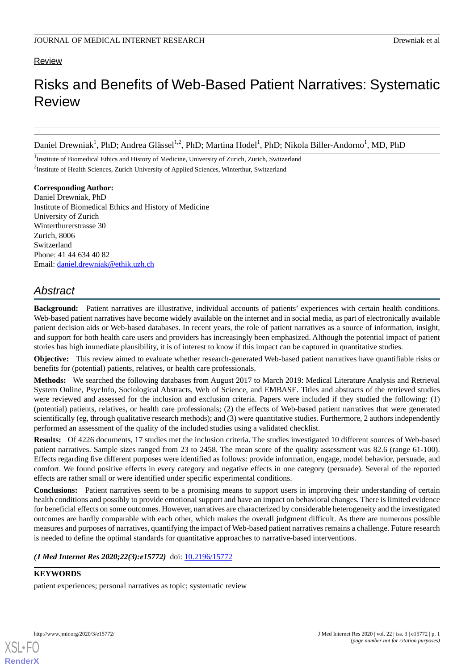## Review

## Risks and Benefits of Web-Based Patient Narratives: Systematic Review

Daniel Drewniak<sup>1</sup>, PhD; Andrea Glässel<sup>1,2</sup>, PhD; Martina Hodel<sup>1</sup>, PhD; Nikola Biller-Andorno<sup>1</sup>, MD, PhD

<sup>1</sup>Institute of Biomedical Ethics and History of Medicine, University of Zurich, Zurich, Switzerland <sup>2</sup>Institute of Health Sciences, Zurich University of Applied Sciences, Winterthur, Switzerland

**Corresponding Author:** Daniel Drewniak, PhD Institute of Biomedical Ethics and History of Medicine University of Zurich Winterthurerstrasse 30 Zurich, 8006 Switzerland Phone: 41 44 634 40 82 Email: [daniel.drewniak@ethik.uzh.ch](mailto:daniel.drewniak@ethik.uzh.ch)

## *Abstract*

**Background:** Patient narratives are illustrative, individual accounts of patients' experiences with certain health conditions. Web-based patient narratives have become widely available on the internet and in social media, as part of electronically available patient decision aids or Web-based databases. In recent years, the role of patient narratives as a source of information, insight, and support for both health care users and providers has increasingly been emphasized. Although the potential impact of patient stories has high immediate plausibility, it is of interest to know if this impact can be captured in quantitative studies.

**Objective:** This review aimed to evaluate whether research-generated Web-based patient narratives have quantifiable risks or benefits for (potential) patients, relatives, or health care professionals.

**Methods:** We searched the following databases from August 2017 to March 2019: Medical Literature Analysis and Retrieval System Online, PsycInfo, Sociological Abstracts, Web of Science, and EMBASE. Titles and abstracts of the retrieved studies were reviewed and assessed for the inclusion and exclusion criteria. Papers were included if they studied the following: (1) (potential) patients, relatives, or health care professionals; (2) the effects of Web-based patient narratives that were generated scientifically (eg, through qualitative research methods); and (3) were quantitative studies. Furthermore, 2 authors independently performed an assessment of the quality of the included studies using a validated checklist.

**Results:** Of 4226 documents, 17 studies met the inclusion criteria. The studies investigated 10 different sources of Web-based patient narratives. Sample sizes ranged from 23 to 2458. The mean score of the quality assessment was 82.6 (range 61-100). Effects regarding five different purposes were identified as follows: provide information, engage, model behavior, persuade, and comfort. We found positive effects in every category and negative effects in one category (persuade). Several of the reported effects are rather small or were identified under specific experimental conditions.

**Conclusions:** Patient narratives seem to be a promising means to support users in improving their understanding of certain health conditions and possibly to provide emotional support and have an impact on behavioral changes. There is limited evidence for beneficial effects on some outcomes. However, narratives are characterized by considerable heterogeneity and the investigated outcomes are hardly comparable with each other, which makes the overall judgment difficult. As there are numerous possible measures and purposes of narratives, quantifying the impact of Web-based patient narratives remains a challenge. Future research is needed to define the optimal standards for quantitative approaches to narrative-based interventions.

## *(J Med Internet Res 2020;22(3):e15772)* doi:  $10.2196/15772$

## **KEYWORDS**

patient experiences; personal narratives as topic; systematic review

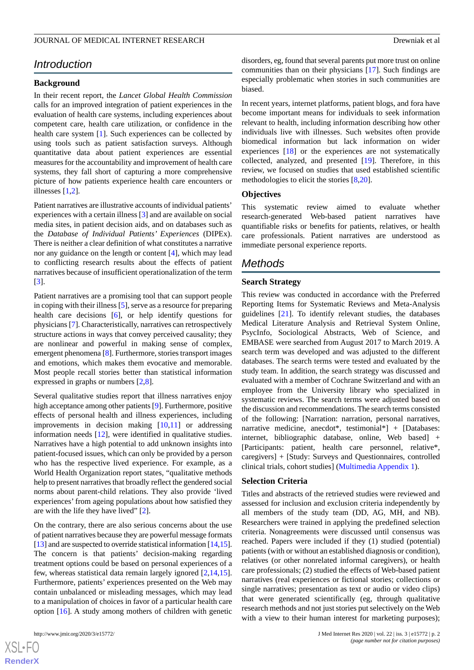## *Introduction*

## **Background**

In their recent report, the *Lancet Global Health Commission* calls for an improved integration of patient experiences in the evaluation of health care systems, including experiences about competent care, health care utilization, or confidence in the health care system [[1\]](#page-14-0). Such experiences can be collected by using tools such as patient satisfaction surveys. Although quantitative data about patient experiences are essential measures for the accountability and improvement of health care systems, they fall short of capturing a more comprehensive picture of how patients experience health care encounters or illnesses [\[1](#page-14-0),[2\]](#page-14-1).

Patient narratives are illustrative accounts of individual patients' experiences with a certain illness [[3\]](#page-14-2) and are available on social media sites, in patient decision aids, and on databases such as the *Database of Individual Patients' Experiences* (DIPEx). There is neither a clear definition of what constitutes a narrative nor any guidance on the length or content [[4\]](#page-14-3), which may lead to conflicting research results about the effects of patient narratives because of insufficient operationalization of the term [[3\]](#page-14-2).

Patient narratives are a promising tool that can support people in coping with their illness [[5\]](#page-14-4), serve as a resource for preparing health care decisions [\[6](#page-14-5)], or help identify questions for physicians [[7\]](#page-14-6). Characteristically, narratives can retrospectively structure actions in ways that convey perceived causality; they are nonlinear and powerful in making sense of complex, emergent phenomena [\[8](#page-14-7)]. Furthermore, stories transport images and emotions, which makes them evocative and memorable. Most people recall stories better than statistical information expressed in graphs or numbers [[2](#page-14-1)[,8](#page-14-7)].

Several qualitative studies report that illness narratives enjoy high acceptance among other patients [\[9](#page-14-8)]. Furthermore, positive effects of personal health and illness experiences, including improvements in decision making [\[10](#page-14-9),[11\]](#page-14-10) or addressing information needs [\[12](#page-14-11)], were identified in qualitative studies. Narratives have a high potential to add unknown insights into patient-focused issues, which can only be provided by a person who has the respective lived experience. For example, as a World Health Organization report states, "qualitative methods help to present narratives that broadly reflect the gendered social norms about parent-child relations. They also provide 'lived experiences' from ageing populations about how satisfied they are with the life they have lived" [\[2\]](#page-14-1).

On the contrary, there are also serious concerns about the use of patient narratives because they are powerful message formats [[13\]](#page-14-12) and are suspected to override statistical information [\[14,](#page-15-0)[15\]](#page-15-1). The concern is that patients' decision-making regarding treatment options could be based on personal experiences of a few, whereas statistical data remain largely ignored [[2](#page-14-1)[,14](#page-15-0),[15\]](#page-15-1). Furthermore, patients' experiences presented on the Web may contain unbalanced or misleading messages, which may lead to a manipulation of choices in favor of a particular health care option [[16\]](#page-15-2). A study among mothers of children with genetic

disorders, eg, found that several parents put more trust on online communities than on their physicians [\[17](#page-15-3)]. Such findings are especially problematic when stories in such communities are biased.

In recent years, internet platforms, patient blogs, and fora have become important means for individuals to seek information relevant to health, including information describing how other individuals live with illnesses. Such websites often provide biomedical information but lack information on wider experiences [\[18](#page-15-4)] or the experiences are not systematically collected, analyzed, and presented [\[19](#page-15-5)]. Therefore, in this review, we focused on studies that used established scientific methodologies to elicit the stories [\[8,](#page-14-7)[20\]](#page-15-6).

## **Objectives**

This systematic review aimed to evaluate whether research-generated Web-based patient narratives have quantifiable risks or benefits for patients, relatives, or health care professionals. Patient narratives are understood as immediate personal experience reports.

## *Methods*

## **Search Strategy**

This review was conducted in accordance with the Preferred Reporting Items for Systematic Reviews and Meta-Analysis guidelines [\[21](#page-15-7)]. To identify relevant studies, the databases Medical Literature Analysis and Retrieval System Online, PsycInfo, Sociological Abstracts, Web of Science, and EMBASE were searched from August 2017 to March 2019. A search term was developed and was adjusted to the different databases. The search terms were tested and evaluated by the study team. In addition, the search strategy was discussed and evaluated with a member of Cochrane Switzerland and with an employee from the University library who specialized in systematic reviews. The search terms were adjusted based on the discussion and recommendations. The search terms consisted of the following: [Narration: narration, personal narratives, narrative medicine, anecdot\*, testimonial\*] + [Databases: internet, bibliographic database, online, Web based] + [Participants: patient, health care personnel, relative\*, caregivers] + [Study: Surveys and Questionnaires, controlled clinical trials, cohort studies] ([Multimedia Appendix 1](#page-14-13)).

#### **Selection Criteria**

Titles and abstracts of the retrieved studies were reviewed and assessed for inclusion and exclusion criteria independently by all members of the study team (DD, AG, MH, and NB). Researchers were trained in applying the predefined selection criteria. Nonagreements were discussed until consensus was reached. Papers were included if they (1) studied (potential) patients (with or without an established diagnosis or condition), relatives (or other nonrelated informal caregivers), or health care professionals; (2) studied the effects of Web-based patient narratives (real experiences or fictional stories; collections or single narratives; presentation as text or audio or video clips) that were generated scientifically (eg, through qualitative research methods and not just stories put selectively on the Web with a view to their human interest for marketing purposes);

 $XS$  $\cdot$ FC **[RenderX](http://www.renderx.com/)**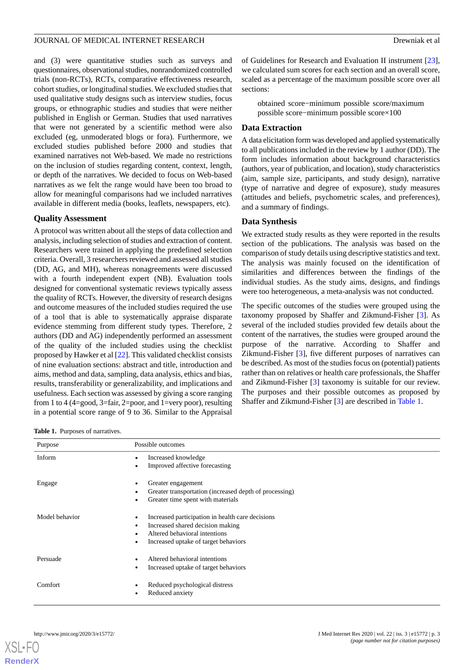and (3) were quantitative studies such as surveys and questionnaires, observational studies, nonrandomized controlled trials (non-RCTs), RCTs, comparative effectiveness research, cohort studies, or longitudinal studies. We excluded studies that used qualitative study designs such as interview studies, focus groups, or ethnographic studies and studies that were neither published in English or German. Studies that used narratives that were not generated by a scientific method were also excluded (eg, unmoderated blogs or fora). Furthermore, we excluded studies published before 2000 and studies that examined narratives not Web-based. We made no restrictions on the inclusion of studies regarding content, context, length, or depth of the narratives. We decided to focus on Web-based narratives as we felt the range would have been too broad to allow for meaningful comparisons had we included narratives available in different media (books, leaflets, newspapers, etc).

## **Quality Assessment**

A protocol was written about all the steps of data collection and analysis, including selection of studies and extraction of content. Researchers were trained in applying the predefined selection criteria. Overall, 3 researchers reviewed and assessed all studies (DD, AG, and MH), whereas nonagreements were discussed with a fourth independent expert (NB). Evaluation tools designed for conventional systematic reviews typically assess the quality of RCTs. However, the diversity of research designs and outcome measures of the included studies required the use of a tool that is able to systematically appraise disparate evidence stemming from different study types. Therefore, 2 authors (DD and AG) independently performed an assessment of the quality of the included studies using the checklist proposed by Hawker et al [[22\]](#page-15-8). This validated checklist consists of nine evaluation sections: abstract and title, introduction and aims, method and data, sampling, data analysis, ethics and bias, results, transferability or generalizability, and implications and usefulness. Each section was assessed by giving a score ranging from 1 to 4 (4=good, 3=fair, 2=poor, and 1=very poor), resulting in a potential score range of 9 to 36. Similar to the Appraisal

of Guidelines for Research and Evaluation II instrument [[23\]](#page-15-9), we calculated sum scores for each section and an overall score, scaled as a percentage of the maximum possible score over all sections:

obtained score−minimum possible score/maximum possible score−minimum possible score×100

## **Data Extraction**

A data elicitation form was developed and applied systematically to all publications included in the review by 1 author (DD). The form includes information about background characteristics (authors, year of publication, and location), study characteristics (aim, sample size, participants, and study design), narrative (type of narrative and degree of exposure), study measures (attitudes and beliefs, psychometric scales, and preferences), and a summary of findings.

## **Data Synthesis**

We extracted study results as they were reported in the results section of the publications. The analysis was based on the comparison of study details using descriptive statistics and text. The analysis was mainly focused on the identification of similarities and differences between the findings of the individual studies. As the study aims, designs, and findings were too heterogeneous, a meta-analysis was not conducted.

The specific outcomes of the studies were grouped using the taxonomy proposed by Shaffer and Zikmund-Fisher [\[3](#page-14-2)]. As several of the included studies provided few details about the content of the narratives, the studies were grouped around the purpose of the narrative. According to Shaffer and Zikmund-Fisher [\[3](#page-14-2)], five different purposes of narratives can be described. As most of the studies focus on (potential) patients rather than on relatives or health care professionals, the Shaffer and Zikmund-Fisher [\[3](#page-14-2)] taxonomy is suitable for our review. The purposes and their possible outcomes as proposed by Shaffer and Zikmund-Fisher [\[3](#page-14-2)] are described in [Table 1](#page-3-0).

<span id="page-3-0"></span>**Table 1.** Purposes of narratives.

| Purpose        | Possible outcomes                                                                                                                                                       |
|----------------|-------------------------------------------------------------------------------------------------------------------------------------------------------------------------|
| Inform         | Increased knowledge<br>$\bullet$<br>Improved affective forecasting                                                                                                      |
| Engage         | Greater engagement<br>٠<br>Greater transportation (increased depth of processing)<br>Greater time spent with materials                                                  |
| Model behavior | Increased participation in health care decisions<br>٠<br>Increased shared decision making<br>٠<br>Altered behavioral intentions<br>Increased uptake of target behaviors |
| Persuade       | Altered behavioral intentions<br>Increased uptake of target behaviors                                                                                                   |
| Comfort        | Reduced psychological distress<br>Reduced anxiety<br>٠                                                                                                                  |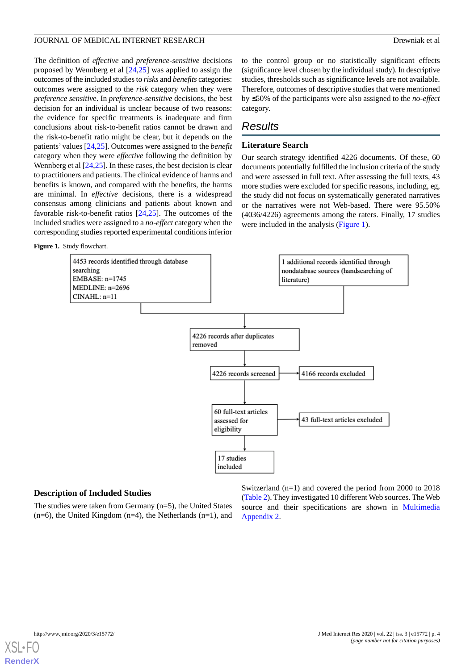The definition of *effective* and *preference-sensitive* decisions proposed by Wennberg et al [[24,](#page-15-10)[25](#page-15-11)] was applied to assign the outcomes of the included studies to *risks* and *benefits* categories: outcomes were assigned to the *risk* category when they were *preference sensitiv*e. In *preference-sensitive* decisions, the best decision for an individual is unclear because of two reasons: the evidence for specific treatments is inadequate and firm conclusions about risk-to-benefit ratios cannot be drawn and the risk-to-benefit ratio might be clear, but it depends on the patients' values [\[24](#page-15-10),[25\]](#page-15-11). Outcomes were assigned to the *benefit* category when they were *effective* following the definition by Wennberg et al [[24,](#page-15-10)[25\]](#page-15-11). In these cases, the best decision is clear to practitioners and patients. The clinical evidence of harms and benefits is known, and compared with the benefits, the harms are minimal. In *effective* decisions, there is a widespread consensus among clinicians and patients about known and favorable risk-to-benefit ratios [[24](#page-15-10)[,25](#page-15-11)]. The outcomes of the included studies were assigned to a *no-effect* category when the corresponding studies reported experimental conditions inferior

<span id="page-4-0"></span>**Figure 1.** Study flowchart.

to the control group or no statistically significant effects (significance level chosen by the individual study). In descriptive studies, thresholds such as significance levels are not available. Therefore, outcomes of descriptive studies that were mentioned by ≤50% of the participants were also assigned to the *no-effect* category.

## *Results*

## **Literature Search**

Our search strategy identified 4226 documents. Of these, 60 documents potentially fulfilled the inclusion criteria of the study and were assessed in full text. After assessing the full texts, 43 more studies were excluded for specific reasons, including, eg, the study did not focus on systematically generated narratives or the narratives were not Web-based. There were 95.50% (4036/4226) agreements among the raters. Finally, 17 studies were included in the analysis ([Figure 1](#page-4-0)).



## **Description of Included Studies**

The studies were taken from Germany (n=5), the United States  $(n=6)$ , the United Kingdom  $(n=4)$ , the Netherlands  $(n=1)$ , and

Switzerland (n=1) and covered the period from 2000 to 2018 ([Table 2\)](#page-5-0). They investigated 10 different Web sources. The Web source and their specifications are shown in [Multimedia](#page-14-14) [Appendix 2.](#page-14-14)

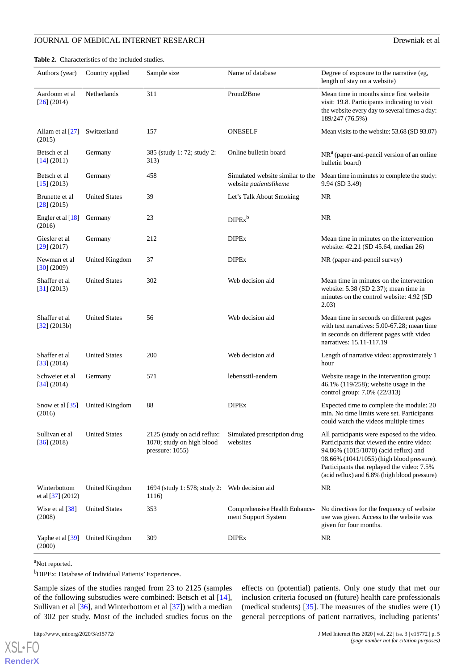<span id="page-5-0"></span>**Table 2.** Characteristics of the included studies.

| Authors (year)                      | Country applied                 | Sample size                                                                 | Name of database                                           | Degree of exposure to the narrative (eg,<br>length of stay on a website)                                                                                                                                                                                                     |  |
|-------------------------------------|---------------------------------|-----------------------------------------------------------------------------|------------------------------------------------------------|------------------------------------------------------------------------------------------------------------------------------------------------------------------------------------------------------------------------------------------------------------------------------|--|
| Aardoom et al<br>$[26]$ (2014)      | Netherlands                     | 311                                                                         | Proud2Bme                                                  | Mean time in months since first website<br>visit: 19.8. Participants indicating to visit<br>the website every day to several times a day:<br>189/247 (76.5%)                                                                                                                 |  |
| Allam et al [27]<br>(2015)          | Switzerland                     | 157                                                                         | <b>ONESELF</b>                                             | Mean visits to the website: 53.68 (SD 93.07)                                                                                                                                                                                                                                 |  |
| Betsch et al<br>[14] (2011)         | Germany                         | 385 (study 1: 72; study 2:<br>313)                                          | Online bulletin board                                      | $NRa$ (paper-and-pencil version of an online<br>bulletin board)                                                                                                                                                                                                              |  |
| Betsch et al<br>[15] (2013)         | Germany                         | 458                                                                         | Simulated website similar to the<br>website patientslikeme | Mean time in minutes to complete the study:<br>9.94 (SD 3.49)                                                                                                                                                                                                                |  |
| Brunette et al<br>$[28]$ (2015)     | <b>United States</b>            | 39                                                                          | Let's Talk About Smoking                                   | <b>NR</b>                                                                                                                                                                                                                                                                    |  |
| Engler et al [18]<br>(2016)         | Germany                         | 23                                                                          | DIPEx <sup>b</sup>                                         | <b>NR</b>                                                                                                                                                                                                                                                                    |  |
| Giesler et al<br>$[29]$ (2017)      | Germany                         | 212                                                                         | <b>DIPEx</b>                                               | Mean time in minutes on the intervention<br>website: 42.21 (SD 45.64, median 26)                                                                                                                                                                                             |  |
| Newman et al<br>[30] (2009)         | United Kingdom                  | 37                                                                          | <b>DIPEx</b>                                               | NR (paper-and-pencil survey)                                                                                                                                                                                                                                                 |  |
| Shaffer et al<br>[31] (2013)        | <b>United States</b>            | 302                                                                         | Web decision aid                                           | Mean time in minutes on the intervention<br>website: 5.38 (SD 2.37); mean time in<br>minutes on the control website: 4.92 (SD)<br>2.03)                                                                                                                                      |  |
| Shaffer et al<br>[32] (2013b)       | <b>United States</b>            | 56                                                                          | Web decision aid                                           | Mean time in seconds on different pages<br>with text narratives: 5.00-67.28; mean time<br>in seconds on different pages with video<br>narratives: 15.11-117.19                                                                                                               |  |
| Shaffer et al<br>[33] (2014)        | <b>United States</b>            | 200                                                                         | Web decision aid                                           | Length of narrative video: approximately 1<br>hour                                                                                                                                                                                                                           |  |
| Schweier et al<br>[34] (2014)       | Germany                         | 571                                                                         | lebensstil-aendern                                         | Website usage in the intervention group:<br>46.1% (119/258); website usage in the<br>control group: 7.0% (22/313)                                                                                                                                                            |  |
| Snow et al $[35]$<br>(2016)         | United Kingdom                  | 88                                                                          | <b>DIPEx</b>                                               | Expected time to complete the module: 20<br>min. No time limits were set. Participants<br>could watch the videos multiple times                                                                                                                                              |  |
| Sullivan et al<br>[36] (2018)       | <b>United States</b>            | 2125 (study on acid reflux:<br>1070; study on high blood<br>pressure: 1055) | Simulated prescription drug<br>websites                    | All participants were exposed to the video.<br>Participants that viewed the entire video:<br>94.86% (1015/1070) (acid reflux) and<br>98.66% (1041/1055) (high blood pressure).<br>Participants that replayed the video: 7.5%<br>(acid reflux) and 6.8% (high blood pressure) |  |
| Winterbottom<br>et al $[37] (2012)$ | United Kingdom                  | 1694 (study 1: 578; study 2: Web decision aid<br>1116)                      |                                                            | <b>NR</b>                                                                                                                                                                                                                                                                    |  |
| Wise et al $[38]$<br>(2008)         | <b>United States</b>            | 353                                                                         | Comprehensive Health Enhance-<br>ment Support System       | No directives for the frequency of website<br>use was given. Access to the website was<br>given for four months.                                                                                                                                                             |  |
| (2000)                              | Yaphe et al [39] United Kingdom | 309                                                                         | <b>DIPEx</b>                                               | NR.                                                                                                                                                                                                                                                                          |  |

<sup>a</sup>Not reported.

[XSL](http://www.w3.org/Style/XSL)•FO **[RenderX](http://www.renderx.com/)**

<sup>b</sup>DIPEx: Database of Individual Patients' Experiences.

Sample sizes of the studies ranged from 23 to 2125 (samples of the following substudies were combined: Betsch et al [[14\]](#page-15-0), Sullivan et al [\[36](#page-16-0)], and Winterbottom et al [\[37](#page-16-1)]) with a median of 302 per study. Most of the included studies focus on the

effects on (potential) patients. Only one study that met our inclusion criteria focused on (future) health care professionals (medical students)  $[35]$  $[35]$ . The measures of the studies were  $(1)$ general perceptions of patient narratives, including patients'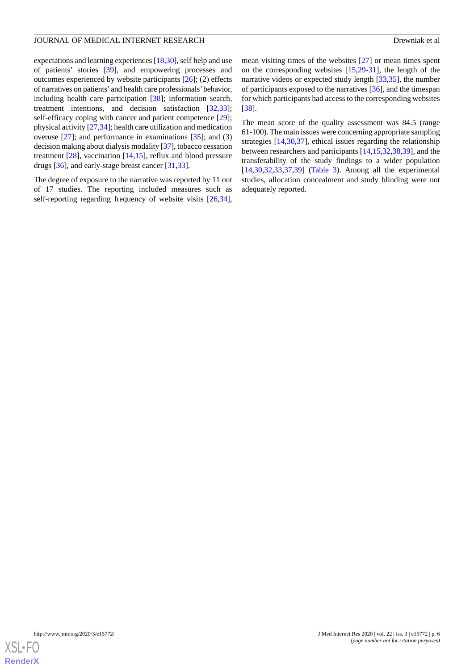expectations and learning experiences [\[18](#page-15-4),[30\]](#page-15-16), self help and use of patients' stories [\[39](#page-16-3)], and empowering processes and outcomes experienced by website participants [\[26](#page-15-12)]; (2) effects of narratives on patients' and health care professionals' behavior, including health care participation [[38\]](#page-16-2); information search, treatment intentions, and decision satisfaction [\[32](#page-15-18),[33\]](#page-15-19); self-efficacy coping with cancer and patient competence [[29\]](#page-15-15); physical activity [[27](#page-15-13)[,34](#page-15-20)]; health care utilization and medication overuse [\[27](#page-15-13)]; and performance in examinations [[35\]](#page-15-21); and (3) decision making about dialysis modality [\[37](#page-16-1)], tobacco cessation treatment [\[28](#page-15-14)], vaccination [\[14](#page-15-0),[15\]](#page-15-1), reflux and blood pressure drugs [[36\]](#page-16-0), and early-stage breast cancer [\[31](#page-15-17)[,33](#page-15-19)].

The degree of exposure to the narrative was reported by 11 out of 17 studies. The reporting included measures such as self-reporting regarding frequency of website visits [\[26](#page-15-12),[34\]](#page-15-20),

mean visiting times of the websites [\[27](#page-15-13)] or mean times spent on the corresponding websites [\[15](#page-15-1),[29-](#page-15-15)[31\]](#page-15-17), the length of the narrative videos or expected study length [[33](#page-15-19)[,35](#page-15-21)], the number of participants exposed to the narratives [\[36](#page-16-0)], and the timespan for which participants had access to the corresponding websites [[38\]](#page-16-2).

The mean score of the quality assessment was 84.5 (range 61-100). The main issues were concerning appropriate sampling strategies [[14](#page-15-0)[,30](#page-15-16),[37\]](#page-16-1), ethical issues regarding the relationship between researchers and participants [[14,](#page-15-0)[15](#page-15-1),[32,](#page-15-18)[38](#page-16-2),[39\]](#page-16-3), and the transferability of the study findings to a wider population [[14,](#page-15-0)[30,](#page-15-16)[32](#page-15-18)[,33](#page-15-19),[37,](#page-16-1)[39\]](#page-16-3) [\(Table 3](#page-7-0)). Among all the experimental studies, allocation concealment and study blinding were not adequately reported.

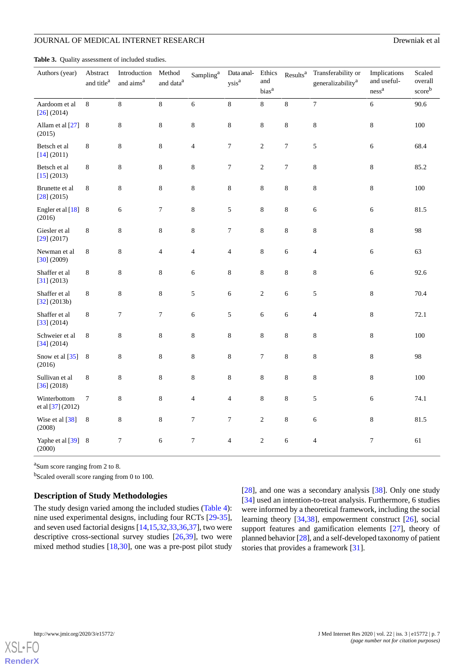<span id="page-7-0"></span>**Table 3.** Quality assessment of included studies.

| Authors (year)                    | Abstract<br>and title <sup>a</sup> | Introduction<br>and aims <sup>a</sup> | Method<br>and $\mathrm{data}^\mathrm{a}$ | $\mathrm{Sampling}^\mathrm{a}$ | Data anal-<br>$\mathbf{y}\mathbf{s}\mathbf{i}\mathbf{s}^\mathbf{a}$ | Ethics<br>and<br>bias <sup>a</sup> | Results <sup>a</sup> | Transferability or<br>generalizability <sup>a</sup> | Implications<br>and useful-<br>$\mathrm{ness}^{\mathrm{a}}$ | Scaled<br>overall<br>scoreb |
|-----------------------------------|------------------------------------|---------------------------------------|------------------------------------------|--------------------------------|---------------------------------------------------------------------|------------------------------------|----------------------|-----------------------------------------------------|-------------------------------------------------------------|-----------------------------|
| Aardoom et al<br>$[26]$ (2014)    | 8                                  | 8                                     | $8\,$                                    | 6                              | $8\,$                                                               | $\,8$                              | $\,8$                | $\overline{7}$                                      | 6                                                           | 90.6                        |
| Allam et al [27] 8<br>(2015)      |                                    | $\,8\,$                               | $\,8\,$                                  | $\,8\,$                        | $\,8\,$                                                             | $\,8\,$                            | $\,8\,$              | 8                                                   | 8                                                           | $100\,$                     |
| Betsch et al<br>[14] (2011)       | 8                                  | $\,8\,$                               | $\,$ 8 $\,$                              | $\overline{4}$                 | $\boldsymbol{7}$                                                    | $\sqrt{2}$                         | $\boldsymbol{7}$     | 5                                                   | 6                                                           | 68.4                        |
| Betsch et al<br>[15] (2013)       | 8                                  | $\,8\,$                               | $\,8\,$                                  | $\,8\,$                        | 7                                                                   | $\overline{c}$                     | 7                    | 8                                                   | 8                                                           | 85.2                        |
| Brunette et al<br>[28] (2015)     | 8                                  | $\,8\,$                               | $\,8\,$                                  | $\,$ 8 $\,$                    | $\,8$                                                               | $\,8$                              | $\,8$                | 8                                                   | 8                                                           | $100\,$                     |
| Engler et al [18]<br>(2016)       | 8                                  | 6                                     | $\boldsymbol{7}$                         | $\,$ 8 $\,$                    | 5                                                                   | $\,$ 8 $\,$                        | $\,8\,$              | 6                                                   | 6                                                           | 81.5                        |
| Giesler et al<br>$[29]$ (2017)    | $\,8\,$                            | $\,8\,$                               | $\,$ 8 $\,$                              | $\,$ 8 $\,$                    | $\boldsymbol{7}$                                                    | $8\,$                              | $\,8\,$              | $\,8$                                               | 8                                                           | 98                          |
| Newman et al<br>[30] (2009)       | $\,8\,$                            | $\,$ 8 $\,$                           | $\overline{\mathcal{L}}$                 | $\overline{\mathcal{L}}$       | $\overline{\mathbf{4}}$                                             | $\,8$                              | $\epsilon$           | $\overline{\mathbf{4}}$                             | 6                                                           | 63                          |
| Shaffer et al<br>[31] (2013)      | 8                                  | $\,$ 8 $\,$                           | $\,$ 8 $\,$                              | 6                              | $\,8\,$                                                             | $\,8\,$                            | $\,8\,$              | $\,8\,$                                             | 6                                                           | 92.6                        |
| Shaffer et al<br>[32] (2013b)     | 8                                  | $\,8\,$                               | $\,$ 8 $\,$                              | $\mathfrak s$                  | $\sqrt{6}$                                                          | $\overline{c}$                     | 6                    | 5                                                   | 8                                                           | 70.4                        |
| Shaffer et al<br>[33] (2014)      | 8                                  | $\tau$                                | 7                                        | 6                              | 5                                                                   | 6                                  | $\epsilon$           | $\overline{\mathcal{L}}$                            | 8                                                           | 72.1                        |
| Schweier et al<br>[34] (2014)     | 8                                  | $\,8\,$                               | $\,$ 8 $\,$                              | $\,8\,$                        | $\,8$                                                               | $\,8\,$                            | $\,8$                | $\,8$                                               | 8                                                           | 100                         |
| Snow et al [35]<br>(2016)         | 8                                  | $\,8\,$                               | $\,8\,$                                  | $\,8\,$                        | $\,8\,$                                                             | 7                                  | $\,8$                | $\,8$                                               | 8                                                           | 98                          |
| Sullivan et al<br>[36] (2018)     | $\,8\,$                            | $\,8\,$                               | $\,8$                                    | $\,8\,$                        | $\,8$                                                               | $\,8$                              | $\,8$                | $\,8$                                               | 8                                                           | 100                         |
| Winterbottom<br>et al [37] (2012) | $\tau$                             | $\,$ 8 $\,$                           | $\,$ 8 $\,$                              | $\overline{4}$                 | 4                                                                   | 8                                  | $\,8\,$              | 5                                                   | 6                                                           | 74.1                        |
| Wise et al [38]<br>(2008)         | 8                                  | 8                                     | 8                                        | $\boldsymbol{7}$               | 7                                                                   | $\overline{c}$                     | $\,8$                | 6                                                   | 8                                                           | 81.5                        |
| Yaphe et al [39] 8<br>(2000)      |                                    | 7                                     | 6                                        | 7                              | $\overline{4}$                                                      | $\overline{c}$                     | 6                    | 4                                                   | 7                                                           | 61                          |

<sup>a</sup>Sum score ranging from 2 to 8.

<sup>b</sup>Scaled overall score ranging from 0 to 100.

## **Description of Study Methodologies**

The study design varied among the included studies [\(Table 4\)](#page-8-0): nine used experimental designs, including four RCTs [\[29](#page-15-15)-[35\]](#page-15-21), and seven used factorial designs [[14](#page-15-0)[,15](#page-15-1),[32](#page-15-18)[,33](#page-15-19),[36](#page-16-0)[,37](#page-16-1)], two were descriptive cross-sectional survey studies [\[26](#page-15-12),[39\]](#page-16-3), two were mixed method studies [[18,](#page-15-4)[30](#page-15-16)], one was a pre-post pilot study [[28\]](#page-15-14), and one was a secondary analysis [[38\]](#page-16-2). Only one study [[34\]](#page-15-20) used an intention-to-treat analysis. Furthermore, 6 studies were informed by a theoretical framework, including the social learning theory [[34,](#page-15-20)[38\]](#page-16-2), empowerment construct [[26\]](#page-15-12), social support features and gamification elements [\[27](#page-15-13)], theory of planned behavior [[28\]](#page-15-14), and a self-developed taxonomy of patient stories that provides a framework [[31\]](#page-15-17).

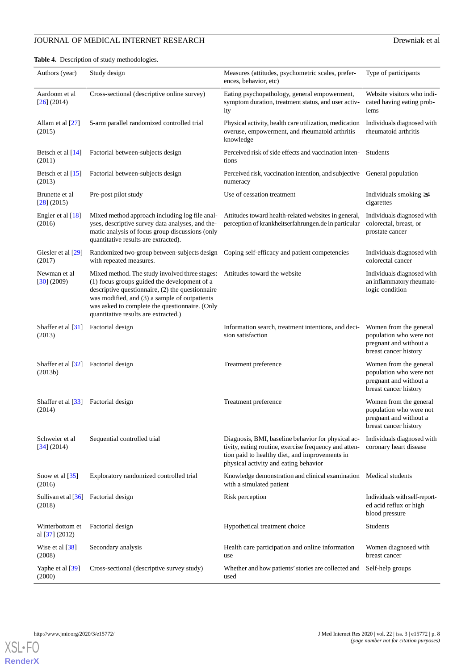## **JOURNAL OF MEDICAL INTERNET RESEARCH DREW DREW DREW SERVER AND REW SERVER SERVER SERVER SERVER SERVER SERVER SERVER SERVER SERVER SERVER SERVER SERVER SERVER SERVER SERVER SERVER SERVER SERVER SERVER SERVER SERVER SERVER**

<span id="page-8-0"></span>**Table 4.** Description of study methodologies.

| Authors (year)                                              | Study design                                                                                                                                                                                                                                                                                  | Measures (attitudes, psychometric scales, prefer-<br>ences, behavior, etc)                                                                                                                             | Type of participants                                                                                 |
|-------------------------------------------------------------|-----------------------------------------------------------------------------------------------------------------------------------------------------------------------------------------------------------------------------------------------------------------------------------------------|--------------------------------------------------------------------------------------------------------------------------------------------------------------------------------------------------------|------------------------------------------------------------------------------------------------------|
| Aardoom et al<br>$[26]$ (2014)                              | Cross-sectional (descriptive online survey)                                                                                                                                                                                                                                                   | Eating psychopathology, general empowerment,<br>symptom duration, treatment status, and user activ-<br>ity                                                                                             | Website visitors who indi-<br>cated having eating prob-<br>lems                                      |
| Allam et al [27]<br>(2015)                                  | 5-arm parallel randomized controlled trial                                                                                                                                                                                                                                                    | Physical activity, health care utilization, medication<br>overuse, empowerment, and rheumatoid arthritis<br>knowledge                                                                                  | Individuals diagnosed with<br>rheumatoid arthritis                                                   |
| Betsch et al [14]<br>(2011)                                 | Factorial between-subjects design                                                                                                                                                                                                                                                             | Perceived risk of side effects and vaccination inten-<br>tions                                                                                                                                         | Students                                                                                             |
| Betsch et al $[15]$<br>(2013)                               | Factorial between-subjects design                                                                                                                                                                                                                                                             | Perceived risk, vaccination intention, and subjective General population<br>numeracy                                                                                                                   |                                                                                                      |
| Brunette et al<br>$[28]$ (2015)                             | Pre-post pilot study                                                                                                                                                                                                                                                                          | Use of cessation treatment                                                                                                                                                                             | Individuals smoking $\geq 4$<br>cigarettes                                                           |
| Engler et al [18]<br>(2016)                                 | Mixed method approach including log file anal-<br>yses, descriptive survey data analyses, and the-<br>matic analysis of focus group discussions (only<br>quantitative results are extracted).                                                                                                 | Attitudes toward health-related websites in general,<br>perception of krankheitserfahrungen.de in particular                                                                                           | Individuals diagnosed with<br>colorectal, breast, or<br>prostate cancer                              |
| Giesler et al [29]<br>(2017)                                | Randomized two-group between-subjects design<br>with repeated measures.                                                                                                                                                                                                                       | Coping self-efficacy and patient competencies                                                                                                                                                          | Individuals diagnosed with<br>colorectal cancer                                                      |
| Newman et al<br>[30] (2009)                                 | Mixed method. The study involved three stages:<br>(1) focus groups guided the development of a<br>descriptive questionnaire, (2) the questionnaire<br>was modified, and (3) a sample of outpatients<br>was asked to complete the questionnaire. (Only<br>quantitative results are extracted.) | Attitudes toward the website                                                                                                                                                                           | Individuals diagnosed with<br>an inflammatory rheumato-<br>logic condition                           |
| Shaffer et al [31]<br>(2013)                                | Factorial design                                                                                                                                                                                                                                                                              | Information search, treatment intentions, and deci-<br>sion satisfaction                                                                                                                               | Women from the general<br>population who were not<br>pregnant and without a<br>breast cancer history |
| Shaffer et al [32]<br>(2013b)                               | Factorial design                                                                                                                                                                                                                                                                              | Treatment preference                                                                                                                                                                                   | Women from the general<br>population who were not<br>pregnant and without a<br>breast cancer history |
| Shaffer et al [33] Factorial design<br>(2014)               |                                                                                                                                                                                                                                                                                               | Treatment preference                                                                                                                                                                                   | Women from the general<br>population who were not<br>pregnant and without a<br>breast cancer history |
| Schweier et al<br>[34] (2014)                               | Sequential controlled trial                                                                                                                                                                                                                                                                   | Diagnosis, BMI, baseline behavior for physical ac-<br>tivity, eating routine, exercise frequency and atten-<br>tion paid to healthy diet, and improvements in<br>physical activity and eating behavior | Individuals diagnosed with<br>coronary heart disease                                                 |
| Snow et al [35]<br>(2016)                                   | Exploratory randomized controlled trial                                                                                                                                                                                                                                                       | Knowledge demonstration and clinical examination Medical students<br>with a simulated patient                                                                                                          |                                                                                                      |
| Sullivan et al $\left[36\right]$ Factorial design<br>(2018) |                                                                                                                                                                                                                                                                                               | Risk perception                                                                                                                                                                                        | Individuals with self-report-<br>ed acid reflux or high<br>blood pressure                            |
| Winterbottom et<br>al [37] (2012)                           | Factorial design                                                                                                                                                                                                                                                                              | Hypothetical treatment choice                                                                                                                                                                          | <b>Students</b>                                                                                      |
| Wise et al $[38]$<br>(2008)                                 | Secondary analysis                                                                                                                                                                                                                                                                            | Health care participation and online information<br>use                                                                                                                                                | Women diagnosed with<br>breast cancer                                                                |
| Yaphe et al [39]<br>(2000)                                  | Cross-sectional (descriptive survey study)                                                                                                                                                                                                                                                    | Whether and how patients' stories are collected and<br>used                                                                                                                                            | Self-help groups                                                                                     |



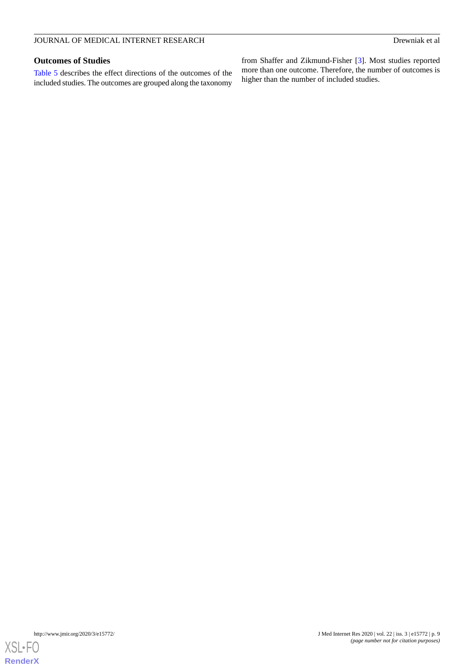## **Outcomes of Studies**

[Table 5](#page-10-0) describes the effect directions of the outcomes of the included studies. The outcomes are grouped along the taxonomy

from Shaffer and Zikmund-Fisher [\[3](#page-14-2)]. Most studies reported more than one outcome. Therefore, the number of outcomes is higher than the number of included studies.

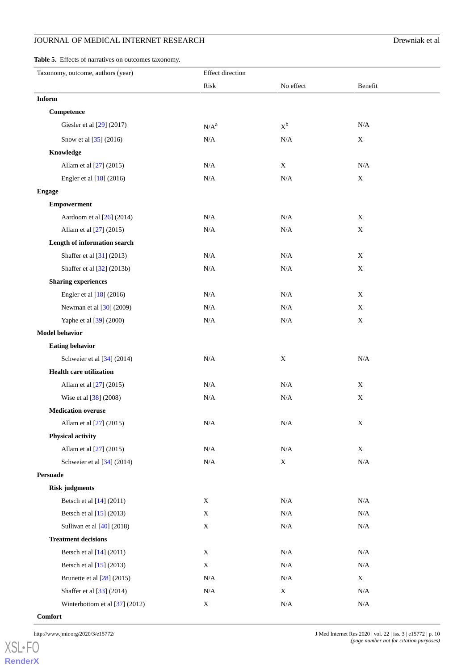## **JOURNAL OF MEDICAL INTERNET RESEARCH DREW DREW DREW SERVER AND REW SERVER SERVER SERVER SERVER SERVER SERVER SERVER SERVER SERVER SERVER SERVER SERVER SERVER SERVER SERVER SERVER SERVER SERVER SERVER SERVER SERVER SERVER**

<span id="page-10-0"></span>**Table 5.** Effects of narratives on outcomes taxonomy.

| Taxonomy, outcome, authors (year) | <b>Effect</b> direction |             |             |
|-----------------------------------|-------------------------|-------------|-------------|
|                                   | Risk                    | No effect   | Benefit     |
| Inform                            |                         |             |             |
| Competence                        |                         |             |             |
| Giesler et al [29] (2017)         | $N/A^a$                 | $X^b$       | $\rm N/A$   |
| Snow et al [35] (2016)            | $\rm N/A$               | N/A         | X           |
| Knowledge                         |                         |             |             |
| Allam et al [27] (2015)           | N/A                     | $\mathbf X$ | $\rm N/A$   |
| Engler et al [18] (2016)          | N/A                     | $\rm N/A$   | $\mathbf X$ |
| <b>Engage</b>                     |                         |             |             |
| <b>Empowerment</b>                |                         |             |             |
| Aardoom et al [26] (2014)         | N/A                     | N/A         | X           |
| Allam et al [27] (2015)           | $\rm N/A$               | $\rm N/A$   | X           |
| Length of information search      |                         |             |             |
| Shaffer et al [31] (2013)         | N/A                     | N/A         | $\mathbf X$ |
| Shaffer et al [32] (2013b)        | N/A                     | N/A         | $\mathbf X$ |
| <b>Sharing experiences</b>        |                         |             |             |
| Engler et al [18] (2016)          | $\rm N/A$               | N/A         | X           |
| Newman et al [30] (2009)          | $\rm N/A$               | N/A         | $\mathbf X$ |
| Yaphe et al [39] (2000)           | $\rm N/A$               | $\rm N/A$   | $\mathbf X$ |
| <b>Model behavior</b>             |                         |             |             |
| <b>Eating behavior</b>            |                         |             |             |
| Schweier et al [34] (2014)        | $\rm N/A$               | $\mathbf X$ | $\rm N/A$   |
| <b>Health care utilization</b>    |                         |             |             |
| Allam et al [27] (2015)           | $\rm N/A$               | N/A         | X           |
| Wise et al [38] (2008)            | N/A                     | N/A         | $\mathbf X$ |
| <b>Medication overuse</b>         |                         |             |             |
| Allam et al [27] (2015)           | $\rm N/A$               | $\rm N/A$   | X           |
| <b>Physical activity</b>          |                         |             |             |
| Allam et al [27] (2015)           | $\rm N/A$               | $\rm N/A$   | $\mathbf X$ |
| Schweier et al [34] (2014)        | N/A                     | $\mathbf X$ | $\rm N/A$   |
| <b>Persuade</b>                   |                         |             |             |
| <b>Risk judgments</b>             |                         |             |             |
| Betsch et al [14] (2011)          | $\mathbf X$             | N/A         | N/A         |
| Betsch et al [15] (2013)          | $\mathbf X$             | $\rm N/A$   | N/A         |
| Sullivan et al $[40]$ (2018)      | $\mathbf X$             | N/A         | $\rm N/A$   |
| <b>Treatment decisions</b>        |                         |             |             |
| Betsch et al $[14]$ (2011)        | X                       | N/A         | N/A         |
| Betsch et al [15] (2013)          | $\mathbf X$             | N/A         | N/A         |
| Brunette et al $[28]$ (2015)      | $\rm N/A$               | $\rm N/A$   | $\mathbf X$ |
| Shaffer et al [33] (2014)         | $\rm N/A$               | $\mathbf X$ | $\rm N/A$   |
| Winterbottom et al $[37]$ (2012)  | $\mathbf X$             | N/A         | N/A         |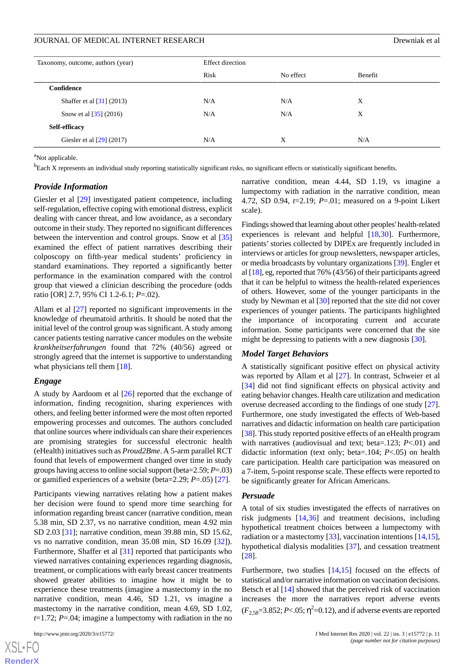| Taxonomy, outcome, authors (year)      | <b>Effect direction</b> |           |         |  |  |
|----------------------------------------|-------------------------|-----------|---------|--|--|
|                                        | Risk                    | No effect | Benefit |  |  |
| Confidence                             |                         |           |         |  |  |
| Shaffer et al $\left[31\right]$ (2013) | N/A                     | N/A       | X       |  |  |
| Snow et al $[35]$ (2016)               | N/A                     | N/A       | X       |  |  |
| Self-efficacy                          |                         |           |         |  |  |
| Giesler et al $[29]$ (2017)            | N/A                     | X         | N/A     |  |  |

<sup>a</sup>Not applicable.

<sup>b</sup>Each X represents an individual study reporting statistically significant risks, no significant effects or statistically significant benefits.

## *Provide Information*

Giesler et al [\[29](#page-15-15)] investigated patient competence, including self-regulation, effective coping with emotional distress, explicit dealing with cancer threat, and low avoidance, as a secondary outcome in their study. They reported no significant differences between the intervention and control groups. Snow et al [\[35](#page-15-21)] examined the effect of patient narratives describing their colposcopy on fifth-year medical students' proficiency in standard examinations. They reported a significantly better performance in the examination compared with the control group that viewed a clinician describing the procedure (odds ratio [OR] 2.7, 95% CI 1.2-6.1; *P*=.02).

Allam et al [[27\]](#page-15-13) reported no significant improvements in the knowledge of rheumatoid arthritis. It should be noted that the initial level of the control group was significant. A study among cancer patients testing narrative cancer modules on the website *krankheitserfahrungen* found that 72% (40/56) agreed or strongly agreed that the internet is supportive to understanding what physicians tell them [\[18](#page-15-4)].

## *Engage*

A study by Aardoom et al [[26\]](#page-15-12) reported that the exchange of information, finding recognition, sharing experiences with others, and feeling better informed were the most often reported empowering processes and outcomes. The authors concluded that online sources where individuals can share their experiences are promising strategies for successful electronic health (eHealth) initiatives such as *Proud2Bme*. A 5-arm parallel RCT found that levels of empowerment changed over time in study groups having access to online social support (beta=2.59; *P*=.03) or gamified experiences of a website (beta=2.29; *P*=.05) [\[27](#page-15-13)].

Participants viewing narratives relating how a patient makes her decision were found to spend more time searching for information regarding breast cancer (narrative condition, mean 5.38 min, SD 2.37, vs no narrative condition, mean 4.92 min SD 2.03 [[31\]](#page-15-17); narrative condition, mean 39.88 min, SD 15.62, vs no narrative condition, mean 35.08 min, SD 16.09 [\[32](#page-15-18)]). Furthermore, Shaffer et al [\[31](#page-15-17)] reported that participants who viewed narratives containing experiences regarding diagnosis, treatment, or complications with early breast cancer treatments showed greater abilities to imagine how it might be to experience these treatments (imagine a mastectomy in the no narrative condition, mean 4.46, SD 1.21, vs imagine a mastectomy in the narrative condition, mean 4.69, SD 1.02, *t*=1.72; *P*=.04; imagine a lumpectomy with radiation in the no

narrative condition, mean 4.44, SD 1.19, vs imagine a lumpectomy with radiation in the narrative condition, mean 4.72, SD 0.94, *t*=2.19; *P*=.01; measured on a 9-point Likert scale).

Findings showed that learning about other peoples' health-related experiences is relevant and helpful [[18](#page-15-4)[,30](#page-15-16)]. Furthermore, patients' stories collected by DIPEx are frequently included in interviews or articles for group newsletters, newspaper articles, or media broadcasts by voluntary organizations [\[39](#page-16-3)]. Engler et al [[18\]](#page-15-4), eg, reported that 76% (43/56) of their participants agreed that it can be helpful to witness the health-related experiences of others. However, some of the younger participants in the study by Newman et al [[30\]](#page-15-16) reported that the site did not cover experiences of younger patients. The participants highlighted the importance of incorporating current and accurate information. Some participants were concerned that the site might be depressing to patients with a new diagnosis [\[30](#page-15-16)].

### *Model Target Behaviors*

A statistically significant positive effect on physical activity was reported by Allam et al [\[27](#page-15-13)]. In contrast, Schweier et al [[34\]](#page-15-20) did not find significant effects on physical activity and eating behavior changes. Health care utilization and medication overuse decreased according to the findings of one study [[27\]](#page-15-13). Furthermore, one study investigated the effects of Web-based narratives and didactic information on health care participation [[38\]](#page-16-2). This study reported positive effects of an eHealth program with narratives (audiovisual and text; beta=.123; *P*<.01) and didactic information (text only; beta=.104; *P*<.05) on health care participation. Health care participation was measured on a 7-item, 5-point response scale. These effects were reported to be significantly greater for African Americans.

## *Persuade*

A total of six studies investigated the effects of narratives on risk judgments [[14](#page-15-0)[,36](#page-16-0)] and treatment decisions, including hypothetical treatment choices between a lumpectomy with radiation or a mastectomy [[33\]](#page-15-19), vaccination intentions [\[14](#page-15-0),[15\]](#page-15-1), hypothetical dialysis modalities [\[37](#page-16-1)], and cessation treatment [[28\]](#page-15-14).

Furthermore, two studies [[14](#page-15-0)[,15](#page-15-1)] focused on the effects of statistical and/or narrative information on vaccination decisions. Betsch et al [\[14](#page-15-0)] showed that the perceived risk of vaccination increases the more the narratives report adverse events  $(F_{2,58}=3.852; P<.05; \eta^2=0.12)$ , and if adverse events are reported

 $XS$  • FC **[RenderX](http://www.renderx.com/)**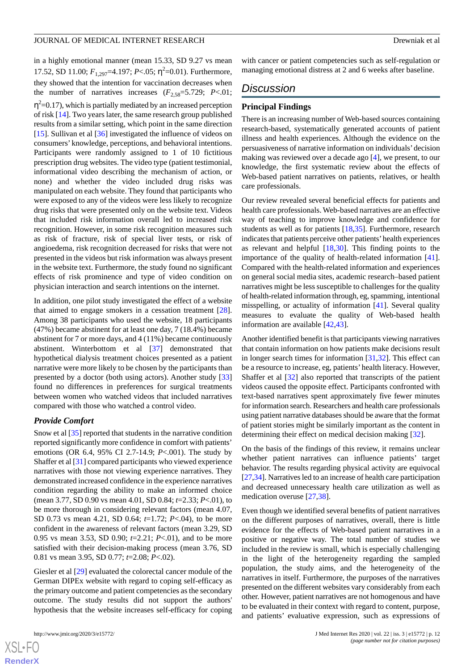in a highly emotional manner (mean 15.33, SD 9.27 vs mean 17.52, SD 11.00;  $F_{1,297}$ =4.197;  $P < .05$ ;  $\eta^2$ =0.01). Furthermore, they showed that the intention for vaccination decreases when the number of narratives increases  $(F_{2.58}=5.729; P<.01;$  $\eta^2$ =0.17), which is partially mediated by an increased perception of risk [\[14](#page-15-0)]. Two years later, the same research group published results from a similar setting, which point in the same direction [[15\]](#page-15-1). Sullivan et al [\[36](#page-16-0)] investigated the influence of videos on consumers' knowledge, perceptions, and behavioral intentions. Participants were randomly assigned to 1 of 10 fictitious prescription drug websites. The video type (patient testimonial, informational video describing the mechanism of action, or none) and whether the video included drug risks was manipulated on each website. They found that participants who were exposed to any of the videos were less likely to recognize drug risks that were presented only on the website text. Videos that included risk information overall led to increased risk recognition. However, in some risk recognition measures such as risk of fracture, risk of special liver tests, or risk of angioedema, risk recognition decreased for risks that were not presented in the videos but risk information was always present in the website text. Furthermore, the study found no significant effects of risk prominence and type of video condition on physician interaction and search intentions on the internet.

In addition, one pilot study investigated the effect of a website that aimed to engage smokers in a cessation treatment [[28\]](#page-15-14). Among 38 participants who used the website, 18 participants (47%) became abstinent for at least one day, 7 (18.4%) became abstinent for 7 or more days, and 4 (11%) became continuously abstinent. Winterbottom et al [\[37](#page-16-1)] demonstrated that hypothetical dialysis treatment choices presented as a patient narrative were more likely to be chosen by the participants than presented by a doctor (both using actors). Another study [\[33](#page-15-19)] found no differences in preferences for surgical treatments between women who watched videos that included narratives compared with those who watched a control video.

## *Provide Comfort*

Snow et al [\[35](#page-15-21)] reported that students in the narrative condition reported significantly more confidence in comfort with patients' emotions (OR 6.4, 95% CI 2.7-14.9; *P*<.001). The study by Shaffer et al [[31\]](#page-15-17) compared participants who viewed experience narratives with those not viewing experience narratives. They demonstrated increased confidence in the experience narratives condition regarding the ability to make an informed choice (mean 3.77, SD 0.90 vs mean 4.01, SD 0.84; *t*=2.33; *P*<.01), to be more thorough in considering relevant factors (mean 4.07, SD 0.73 vs mean 4.21, SD 0.64; *t*=1.72; *P*<.04), to be more confident in the awareness of relevant factors (mean 3.29, SD 0.95 vs mean 3.53, SD 0.90; *t*=2.21; *P*<.01), and to be more satisfied with their decision-making process (mean 3.76, SD 0.81 vs mean 3.95, SD 0.77; *t*=2.08; *P*<.02).

Giesler et al [\[29](#page-15-15)] evaluated the colorectal cancer module of the German DIPEx website with regard to coping self-efficacy as the primary outcome and patient competencies as the secondary outcome. The study results did not support the authors' hypothesis that the website increases self-efficacy for coping

 $XS$  $\cdot$ FC **[RenderX](http://www.renderx.com/)** with cancer or patient competencies such as self-regulation or managing emotional distress at 2 and 6 weeks after baseline.

## *Discussion*

## **Principal Findings**

There is an increasing number of Web-based sources containing research-based, systematically generated accounts of patient illness and health experiences. Although the evidence on the persuasiveness of narrative information on individuals' decision making was reviewed over a decade ago [[4\]](#page-14-3), we present, to our knowledge, the first systematic review about the effects of Web-based patient narratives on patients, relatives, or health care professionals.

Our review revealed several beneficial effects for patients and health care professionals. Web-based narratives are an effective way of teaching to improve knowledge and confidence for students as well as for patients [\[18](#page-15-4),[35\]](#page-15-21). Furthermore, research indicates that patients perceive other patients' health experiences as relevant and helpful [\[18](#page-15-4),[30\]](#page-15-16). This finding points to the importance of the quality of health-related information [[41\]](#page-16-5). Compared with the health-related information and experiences on general social media sites, academic research–based patient narratives might be less susceptible to challenges for the quality of health-related information through, eg, spamming, intentional misspelling, or actuality of information [\[41](#page-16-5)]. Several quality measures to evaluate the quality of Web-based health information are available [[42,](#page-16-6)[43](#page-16-7)].

Another identified benefit is that participants viewing narratives that contain information on how patients make decisions result in longer search times for information [\[31](#page-15-17),[32\]](#page-15-18). This effect can be a resource to increase, eg, patients' health literacy. However, Shaffer et al [\[32](#page-15-18)] also reported that transcripts of the patient videos caused the opposite effect. Participants confronted with text-based narratives spent approximately five fewer minutes for information search. Researchers and health care professionals using patient narrative databases should be aware that the format of patient stories might be similarly important as the content in determining their effect on medical decision making [[32\]](#page-15-18).

On the basis of the findings of this review, it remains unclear whether patient narratives can influence patients' target behavior. The results regarding physical activity are equivocal [[27](#page-15-13)[,34](#page-15-20)]. Narratives led to an increase of health care participation and decreased unnecessary health care utilization as well as medication overuse [\[27](#page-15-13),[38\]](#page-16-2).

Even though we identified several benefits of patient narratives on the different purposes of narratives, overall, there is little evidence for the effects of Web-based patient narratives in a positive or negative way. The total number of studies we included in the review is small, which is especially challenging in the light of the heterogeneity regarding the sampled population, the study aims, and the heterogeneity of the narratives in itself. Furthermore, the purposes of the narratives presented on the different websites vary considerably from each other. However, patient narratives are not homogenous and have to be evaluated in their context with regard to content, purpose, and patients' evaluative expression, such as expressions of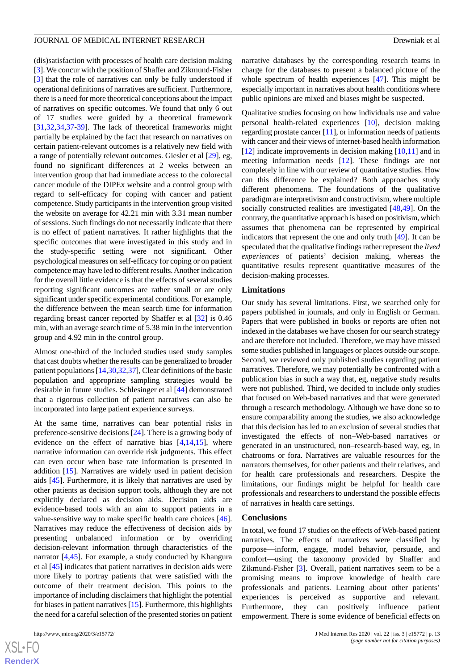(dis)satisfaction with processes of health care decision making [[3\]](#page-14-2). We concur with the position of Shaffer and Zikmund-Fisher [[3\]](#page-14-2) that the role of narratives can only be fully understood if operational definitions of narratives are sufficient. Furthermore, there is a need for more theoretical conceptions about the impact of narratives on specific outcomes. We found that only 6 out of 17 studies were guided by a theoretical framework [[31](#page-15-17)[,32](#page-15-18),[34](#page-15-20)[,37](#page-16-1)-[39\]](#page-16-3). The lack of theoretical frameworks might partially be explained by the fact that research on narratives on certain patient-relevant outcomes is a relatively new field with a range of potentially relevant outcomes. Giesler et al [[29\]](#page-15-15), eg, found no significant differences at 2 weeks between an intervention group that had immediate access to the colorectal cancer module of the DIPEx website and a control group with regard to self-efficacy for coping with cancer and patient competence. Study participants in the intervention group visited the website on average for 42.21 min with 3.31 mean number of sessions. Such findings do not necessarily indicate that there is no effect of patient narratives. It rather highlights that the specific outcomes that were investigated in this study and in the study-specific setting were not significant. Other psychological measures on self-efficacy for coping or on patient competence may have led to different results. Another indication for the overall little evidence is that the effects of several studies reporting significant outcomes are rather small or are only significant under specific experimental conditions. For example, the difference between the mean search time for information regarding breast cancer reported by Shaffer et al [[32\]](#page-15-18) is 0.46 min, with an average search time of 5.38 min in the intervention group and 4.92 min in the control group.

Almost one-third of the included studies used study samples that cast doubts whether the results can be generalized to broader patient populations [[14,](#page-15-0)[30](#page-15-16)[,32](#page-15-18)[,37](#page-16-1)], Clear definitions of the basic population and appropriate sampling strategies would be desirable in future studies. Schlesinger et al [[44](#page-16-8)] demonstrated that a rigorous collection of patient narratives can also be incorporated into large patient experience surveys.

At the same time, narratives can bear potential risks in preference-sensitive decisions [\[24](#page-15-10)]. There is a growing body of evidence on the effect of narrative bias [[4,](#page-14-3)[14](#page-15-0),[15\]](#page-15-1), where narrative information can override risk judgments. This effect can even occur when base rate information is presented in addition [\[15](#page-15-1)]. Narratives are widely used in patient decision aids [\[45](#page-16-9)]. Furthermore, it is likely that narratives are used by other patients as decision support tools, although they are not explicitly declared as decision aids. Decision aids are evidence-based tools with an aim to support patients in a value-sensitive way to make specific health care choices [[46\]](#page-16-10). Narratives may reduce the effectiveness of decision aids by presenting unbalanced information or by overriding decision-relevant information through characteristics of the narrator [\[4,](#page-14-3)[45](#page-16-9)]. For example, a study conducted by Khangura et al [\[45](#page-16-9)] indicates that patient narratives in decision aids were more likely to portray patients that were satisfied with the outcome of their treatment decision. This points to the importance of including disclaimers that highlight the potential for biases in patient narratives [\[15](#page-15-1)]. Furthermore, this highlights the need for a careful selection of the presented stories on patient

 $XS$  $\cdot$ FC **[RenderX](http://www.renderx.com/)** narrative databases by the corresponding research teams in charge for the databases to present a balanced picture of the whole spectrum of health experiences [\[47](#page-16-11)]. This might be especially important in narratives about health conditions where public opinions are mixed and biases might be suspected.

Qualitative studies focusing on how individuals use and value personal health-related experiences [\[10](#page-14-9)], decision making regarding prostate cancer [[11\]](#page-14-10), or information needs of patients with cancer and their views of internet-based health information [[12\]](#page-14-11) indicate improvements in decision making [\[10](#page-14-9),[11\]](#page-14-10) and in meeting information needs [\[12](#page-14-11)]. These findings are not completely in line with our review of quantitative studies. How can this difference be explained? Both approaches study different phenomena. The foundations of the qualitative paradigm are interpretivism and constructivism, where multiple socially constructed realities are investigated [\[48](#page-16-12),[49\]](#page-16-13). On the contrary, the quantitative approach is based on positivism, which assumes that phenomena can be represented by empirical indicators that represent the one and only truth [[49\]](#page-16-13). It can be speculated that the qualitative findings rather represent the *lived experiences* of patients' decision making, whereas the quantitative results represent quantitative measures of the decision-making processes.

#### **Limitations**

Our study has several limitations. First, we searched only for papers published in journals, and only in English or German. Papers that were published in books or reports are often not indexed in the databases we have chosen for our search strategy and are therefore not included. Therefore, we may have missed some studies published in languages or places outside our scope. Second, we reviewed only published studies regarding patient narratives. Therefore, we may potentially be confronted with a publication bias in such a way that, eg, negative study results were not published. Third, we decided to include only studies that focused on Web-based narratives and that were generated through a research methodology. Although we have done so to ensure comparability among the studies, we also acknowledge that this decision has led to an exclusion of several studies that investigated the effects of non–Web-based narratives or generated in an unstructured, non–research-based way, eg, in chatrooms or fora. Narratives are valuable resources for the narrators themselves, for other patients and their relatives, and for health care professionals and researchers. Despite the limitations, our findings might be helpful for health care professionals and researchers to understand the possible effects of narratives in health care settings.

#### **Conclusions**

In total, we found 17 studies on the effects of Web-based patient narratives. The effects of narratives were classified by purpose—inform, engage, model behavior, persuade, and comfort—using the taxonomy provided by Shaffer and Zikmund-Fisher [[3\]](#page-14-2). Overall, patient narratives seem to be a promising means to improve knowledge of health care professionals and patients. Learning about other patients' experiences is perceived as supportive and relevant. Furthermore, they can positively influence patient empowerment. There is some evidence of beneficial effects on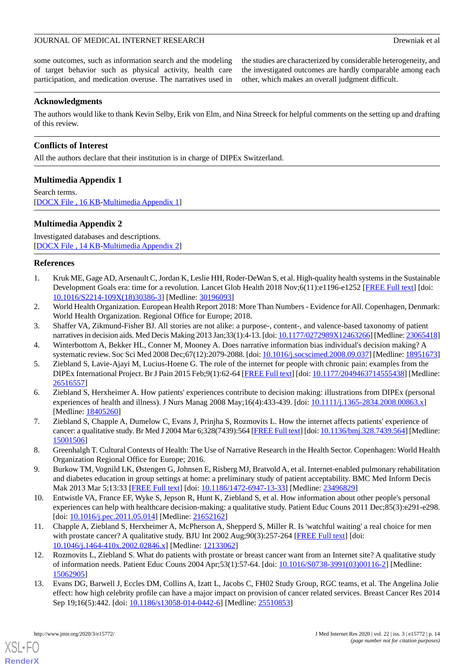some outcomes, such as information search and the modeling of target behavior such as physical activity, health care participation, and medication overuse. The narratives used in

the studies are characterized by considerable heterogeneity, and the investigated outcomes are hardly comparable among each other, which makes an overall judgment difficult.

## **Acknowledgments**

The authors would like to thank Kevin Selby, Erik von Elm, and Nina Streeck for helpful comments on the setting up and drafting of this review.

## **Conflicts of Interest**

<span id="page-14-13"></span>All the authors declare that their institution is in charge of DIPEx Switzerland.

## **Multimedia Appendix 1**

<span id="page-14-14"></span>Search terms. [[DOCX File , 16 KB](https://jmir.org/api/download?alt_name=jmir_v22i3e15772_app1.docx&filename=bf4a0c14b4dac5d8cbd5761fd28ea271.docx)-[Multimedia Appendix 1](https://jmir.org/api/download?alt_name=jmir_v22i3e15772_app1.docx&filename=bf4a0c14b4dac5d8cbd5761fd28ea271.docx)]

## **Multimedia Appendix 2**

Investigated databases and descriptions. [[DOCX File , 14 KB](https://jmir.org/api/download?alt_name=jmir_v22i3e15772_app2.docx&filename=280f3a974489535e36a9d52be9e0f886.docx)-[Multimedia Appendix 2](https://jmir.org/api/download?alt_name=jmir_v22i3e15772_app2.docx&filename=280f3a974489535e36a9d52be9e0f886.docx)]

## <span id="page-14-0"></span>**References**

- <span id="page-14-1"></span>1. Kruk ME, Gage AD, Arsenault C, Jordan K, Leslie HH, Roder-DeWan S, et al. High-quality health systems in the Sustainable Development Goals era: time for a revolution. Lancet Glob Health 2018 Nov;6(11):e1196-e1252 [\[FREE Full text\]](https://linkinghub.elsevier.com/retrieve/pii/S2214-109X(18)30386-3) [doi: [10.1016/S2214-109X\(18\)30386-3\]](http://dx.doi.org/10.1016/S2214-109X(18)30386-3) [Medline: [30196093\]](http://www.ncbi.nlm.nih.gov/entrez/query.fcgi?cmd=Retrieve&db=PubMed&list_uids=30196093&dopt=Abstract)
- <span id="page-14-3"></span><span id="page-14-2"></span>2. World Health Organization. European Health Report 2018: More Than Numbers - Evidence for All. Copenhagen, Denmark: World Health Organization. Regional Office for Europe; 2018.
- <span id="page-14-4"></span>3. Shaffer VA, Zikmund-Fisher BJ. All stories are not alike: a purpose-, content-, and valence-based taxonomy of patient narratives in decision aids. Med Decis Making 2013 Jan;33(1):4-13. [doi: [10.1177/0272989X12463266\]](http://dx.doi.org/10.1177/0272989X12463266) [Medline: [23065418\]](http://www.ncbi.nlm.nih.gov/entrez/query.fcgi?cmd=Retrieve&db=PubMed&list_uids=23065418&dopt=Abstract)
- <span id="page-14-5"></span>4. Winterbottom A, Bekker HL, Conner M, Mooney A. Does narrative information bias individual's decision making? A systematic review. Soc Sci Med 2008 Dec;67(12):2079-2088. [doi: [10.1016/j.socscimed.2008.09.037\]](http://dx.doi.org/10.1016/j.socscimed.2008.09.037) [Medline: [18951673\]](http://www.ncbi.nlm.nih.gov/entrez/query.fcgi?cmd=Retrieve&db=PubMed&list_uids=18951673&dopt=Abstract)
- 5. Ziebland S, Lavie-Ajayi M, Lucius-Hoene G. The role of the internet for people with chronic pain: examples from the DIPEx International Project. Br J Pain 2015 Feb;9(1):62-64 [\[FREE Full text](http://europepmc.org/abstract/MED/26516557)] [doi: [10.1177/2049463714555438\]](http://dx.doi.org/10.1177/2049463714555438) [Medline: [26516557](http://www.ncbi.nlm.nih.gov/entrez/query.fcgi?cmd=Retrieve&db=PubMed&list_uids=26516557&dopt=Abstract)]
- <span id="page-14-7"></span><span id="page-14-6"></span>6. Ziebland S, Herxheimer A. How patients' experiences contribute to decision making: illustrations from DIPEx (personal experiences of health and illness). J Nurs Manag 2008 May;16(4):433-439. [doi: [10.1111/j.1365-2834.2008.00863.x](http://dx.doi.org/10.1111/j.1365-2834.2008.00863.x)] [Medline: [18405260](http://www.ncbi.nlm.nih.gov/entrez/query.fcgi?cmd=Retrieve&db=PubMed&list_uids=18405260&dopt=Abstract)]
- <span id="page-14-8"></span>7. Ziebland S, Chapple A, Dumelow C, Evans J, Prinjha S, Rozmovits L. How the internet affects patients' experience of cancer: a qualitative study. Br Med J 2004 Mar 6;328(7439):564 [\[FREE Full text](http://europepmc.org/abstract/MED/15001506)] [doi: [10.1136/bmj.328.7439.564\]](http://dx.doi.org/10.1136/bmj.328.7439.564) [Medline: [15001506](http://www.ncbi.nlm.nih.gov/entrez/query.fcgi?cmd=Retrieve&db=PubMed&list_uids=15001506&dopt=Abstract)]
- <span id="page-14-9"></span>8. Greenhalgh T. Cultural Contexts of Health: The Use of Narrative Research in the Health Sector. Copenhagen: World Health Organization Regional Office for Europe; 2016.
- <span id="page-14-10"></span>9. Burkow TM, Vognild LK, Østengen G, Johnsen E, Risberg MJ, Bratvold A, et al. Internet-enabled pulmonary rehabilitation and diabetes education in group settings at home: a preliminary study of patient acceptability. BMC Med Inform Decis Mak 2013 Mar 5;13:33 [\[FREE Full text\]](https://bmcmedinformdecismak.biomedcentral.com/articles/10.1186/1472-6947-13-33) [doi: [10.1186/1472-6947-13-33](http://dx.doi.org/10.1186/1472-6947-13-33)] [Medline: [23496829](http://www.ncbi.nlm.nih.gov/entrez/query.fcgi?cmd=Retrieve&db=PubMed&list_uids=23496829&dopt=Abstract)]
- <span id="page-14-11"></span>10. Entwistle VA, France EF, Wyke S, Jepson R, Hunt K, Ziebland S, et al. How information about other people's personal experiences can help with healthcare decision-making: a qualitative study. Patient Educ Couns 2011 Dec;85(3):e291-e298. [doi: [10.1016/j.pec.2011.05.014\]](http://dx.doi.org/10.1016/j.pec.2011.05.014) [Medline: [21652162\]](http://www.ncbi.nlm.nih.gov/entrez/query.fcgi?cmd=Retrieve&db=PubMed&list_uids=21652162&dopt=Abstract)
- <span id="page-14-12"></span>11. Chapple A, Ziebland S, Herxheimer A, McPherson A, Shepperd S, Miller R. Is 'watchful waiting' a real choice for men with prostate cancer? A qualitative study. BJU Int 2002 Aug;90(3):257-264 [[FREE Full text](https://onlinelibrary.wiley.com/resolve/openurl?genre=article&sid=nlm:pubmed&issn=1464-4096&date=2002&volume=90&issue=3&spage=257)] [doi: [10.1046/j.1464-410x.2002.02846.x\]](http://dx.doi.org/10.1046/j.1464-410x.2002.02846.x) [Medline: [12133062\]](http://www.ncbi.nlm.nih.gov/entrez/query.fcgi?cmd=Retrieve&db=PubMed&list_uids=12133062&dopt=Abstract)
- 12. Rozmovits L, Ziebland S. What do patients with prostate or breast cancer want from an Internet site? A qualitative study of information needs. Patient Educ Couns 2004 Apr;53(1):57-64. [doi: [10.1016/S0738-3991\(03\)00116-2\]](http://dx.doi.org/10.1016/S0738-3991(03)00116-2) [Medline: [15062905](http://www.ncbi.nlm.nih.gov/entrez/query.fcgi?cmd=Retrieve&db=PubMed&list_uids=15062905&dopt=Abstract)]
- 13. Evans DG, Barwell J, Eccles DM, Collins A, Izatt L, Jacobs C, FH02 Study Group, RGC teams, et al. The Angelina Jolie effect: how high celebrity profile can have a major impact on provision of cancer related services. Breast Cancer Res 2014 Sep 19;16(5):442. [doi: [10.1186/s13058-014-0442-6\]](http://dx.doi.org/10.1186/s13058-014-0442-6) [Medline: [25510853\]](http://www.ncbi.nlm.nih.gov/entrez/query.fcgi?cmd=Retrieve&db=PubMed&list_uids=25510853&dopt=Abstract)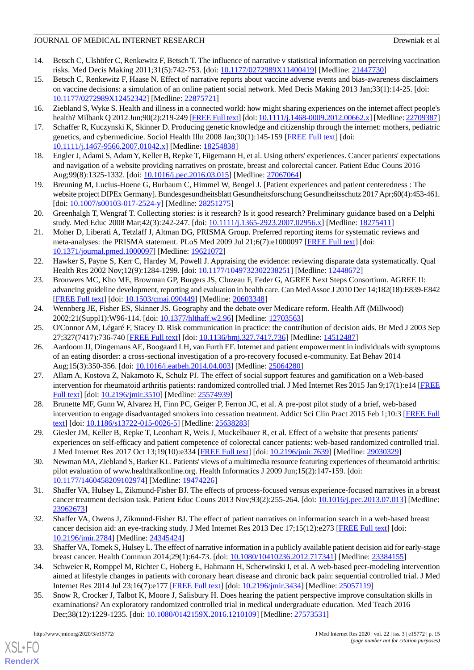- <span id="page-15-0"></span>14. Betsch C, Ulshöfer C, Renkewitz F, Betsch T. The influence of narrative v statistical information on perceiving vaccination risks. Med Decis Making 2011;31(5):742-753. [doi: [10.1177/0272989X11400419\]](http://dx.doi.org/10.1177/0272989X11400419) [Medline: [21447730](http://www.ncbi.nlm.nih.gov/entrez/query.fcgi?cmd=Retrieve&db=PubMed&list_uids=21447730&dopt=Abstract)]
- <span id="page-15-1"></span>15. Betsch C, Renkewitz F, Haase N. Effect of narrative reports about vaccine adverse events and bias-awareness disclaimers on vaccine decisions: a simulation of an online patient social network. Med Decis Making 2013 Jan;33(1):14-25. [doi: [10.1177/0272989X12452342](http://dx.doi.org/10.1177/0272989X12452342)] [Medline: [22875721\]](http://www.ncbi.nlm.nih.gov/entrez/query.fcgi?cmd=Retrieve&db=PubMed&list_uids=22875721&dopt=Abstract)
- <span id="page-15-3"></span><span id="page-15-2"></span>16. Ziebland S, Wyke S. Health and illness in a connected world: how might sharing experiences on the internet affect people's health? Milbank Q 2012 Jun;90(2):219-249 [\[FREE Full text\]](http://europepmc.org/abstract/MED/22709387) [doi: [10.1111/j.1468-0009.2012.00662.x](http://dx.doi.org/10.1111/j.1468-0009.2012.00662.x)] [Medline: [22709387\]](http://www.ncbi.nlm.nih.gov/entrez/query.fcgi?cmd=Retrieve&db=PubMed&list_uids=22709387&dopt=Abstract)
- <span id="page-15-4"></span>17. Schaffer R, Kuczynski K, Skinner D. Producing genetic knowledge and citizenship through the internet: mothers, pediatric genetics, and cybermedicine. Sociol Health Illn 2008 Jan;30(1):145-159 [[FREE Full text](https://doi.org/10.1111/j.1467-9566.2007.01042.x)] [doi: [10.1111/j.1467-9566.2007.01042.x\]](http://dx.doi.org/10.1111/j.1467-9566.2007.01042.x) [Medline: [18254838\]](http://www.ncbi.nlm.nih.gov/entrez/query.fcgi?cmd=Retrieve&db=PubMed&list_uids=18254838&dopt=Abstract)
- <span id="page-15-5"></span>18. Engler J, Adami S, Adam Y, Keller B, Repke T, Fügemann H, et al. Using others' experiences. Cancer patients' expectations and navigation of a website providing narratives on prostate, breast and colorectal cancer. Patient Educ Couns 2016 Aug;99(8):1325-1332. [doi: [10.1016/j.pec.2016.03.015\]](http://dx.doi.org/10.1016/j.pec.2016.03.015) [Medline: [27067064](http://www.ncbi.nlm.nih.gov/entrez/query.fcgi?cmd=Retrieve&db=PubMed&list_uids=27067064&dopt=Abstract)]
- <span id="page-15-6"></span>19. Breuning M, Lucius-Hoene G, Burbaum C, Himmel W, Bengel J. [Patient experiences and patient centeredness : The website project DIPEx Germany]. Bundesgesundheitsblatt Gesundheitsforschung Gesundheitsschutz 2017 Apr;60(4):453-461. [doi: [10.1007/s00103-017-2524-y](http://dx.doi.org/10.1007/s00103-017-2524-y)] [Medline: [28251275\]](http://www.ncbi.nlm.nih.gov/entrez/query.fcgi?cmd=Retrieve&db=PubMed&list_uids=28251275&dopt=Abstract)
- <span id="page-15-7"></span>20. Greenhalgh T, Wengraf T. Collecting stories: is it research? Is it good research? Preliminary guidance based on a Delphi study. Med Educ 2008 Mar;42(3):242-247. [doi: [10.1111/j.1365-2923.2007.02956.x\]](http://dx.doi.org/10.1111/j.1365-2923.2007.02956.x) [Medline: [18275411\]](http://www.ncbi.nlm.nih.gov/entrez/query.fcgi?cmd=Retrieve&db=PubMed&list_uids=18275411&dopt=Abstract)
- <span id="page-15-8"></span>21. Moher D, Liberati A, Tetzlaff J, Altman DG, PRISMA Group. Preferred reporting items for systematic reviews and meta-analyses: the PRISMA statement. PLoS Med 2009 Jul 21;6(7):e1000097 [[FREE Full text](http://dx.plos.org/10.1371/journal.pmed.1000097)] [doi: [10.1371/journal.pmed.1000097](http://dx.doi.org/10.1371/journal.pmed.1000097)] [Medline: [19621072](http://www.ncbi.nlm.nih.gov/entrez/query.fcgi?cmd=Retrieve&db=PubMed&list_uids=19621072&dopt=Abstract)]
- <span id="page-15-9"></span>22. Hawker S, Payne S, Kerr C, Hardey M, Powell J. Appraising the evidence: reviewing disparate data systematically. Qual Health Res 2002 Nov;12(9):1284-1299. [doi: [10.1177/1049732302238251\]](http://dx.doi.org/10.1177/1049732302238251) [Medline: [12448672\]](http://www.ncbi.nlm.nih.gov/entrez/query.fcgi?cmd=Retrieve&db=PubMed&list_uids=12448672&dopt=Abstract)
- <span id="page-15-10"></span>23. Brouwers MC, Kho ME, Browman GP, Burgers JS, Cluzeau F, Feder G, AGREE Next Steps Consortium. AGREE II: advancing guideline development, reporting and evaluation in health care. Can Med Assoc J 2010 Dec 14;182(18):E839-E842 [[FREE Full text](http://www.cmaj.ca/cgi/pmidlookup?view=long&pmid=20603348)] [doi: [10.1503/cmaj.090449\]](http://dx.doi.org/10.1503/cmaj.090449) [Medline: [20603348](http://www.ncbi.nlm.nih.gov/entrez/query.fcgi?cmd=Retrieve&db=PubMed&list_uids=20603348&dopt=Abstract)]
- <span id="page-15-12"></span><span id="page-15-11"></span>24. Wennberg JE, Fisher ES, Skinner JS. Geography and the debate over Medicare reform. Health Aff (Millwood) 2002;21(Suppl1):W96-114. [doi: [10.1377/hlthaff.w2.96](http://dx.doi.org/10.1377/hlthaff.w2.96)] [Medline: [12703563\]](http://www.ncbi.nlm.nih.gov/entrez/query.fcgi?cmd=Retrieve&db=PubMed&list_uids=12703563&dopt=Abstract)
- 25. O'Connor AM, Légaré F, Stacey D. Risk communication in practice: the contribution of decision aids. Br Med J 2003 Sep 27;327(7417):736-740 [[FREE Full text](http://europepmc.org/abstract/MED/14512487)] [doi: [10.1136/bmj.327.7417.736\]](http://dx.doi.org/10.1136/bmj.327.7417.736) [Medline: [14512487\]](http://www.ncbi.nlm.nih.gov/entrez/query.fcgi?cmd=Retrieve&db=PubMed&list_uids=14512487&dopt=Abstract)
- <span id="page-15-13"></span>26. Aardoom JJ, Dingemans AE, Boogaard LH, van Furth EF. Internet and patient empowerment in individuals with symptoms of an eating disorder: a cross-sectional investigation of a pro-recovery focused e-community. Eat Behav 2014 Aug;15(3):350-356. [doi: [10.1016/j.eatbeh.2014.04.003\]](http://dx.doi.org/10.1016/j.eatbeh.2014.04.003) [Medline: [25064280\]](http://www.ncbi.nlm.nih.gov/entrez/query.fcgi?cmd=Retrieve&db=PubMed&list_uids=25064280&dopt=Abstract)
- <span id="page-15-15"></span><span id="page-15-14"></span>27. Allam A, Kostova Z, Nakamoto K, Schulz PJ. The effect of social support features and gamification on a Web-based intervention for rheumatoid arthritis patients: randomized controlled trial. J Med Internet Res 2015 Jan 9;17(1):e14 [\[FREE](https://www.jmir.org/2015/1/e14/) [Full text\]](https://www.jmir.org/2015/1/e14/) [doi: [10.2196/jmir.3510](http://dx.doi.org/10.2196/jmir.3510)] [Medline: [25574939\]](http://www.ncbi.nlm.nih.gov/entrez/query.fcgi?cmd=Retrieve&db=PubMed&list_uids=25574939&dopt=Abstract)
- <span id="page-15-16"></span>28. Brunette MF, Gunn W, Alvarez H, Finn PC, Geiger P, Ferron JC, et al. A pre-post pilot study of a brief, web-based intervention to engage disadvantaged smokers into cessation treatment. Addict Sci Clin Pract 2015 Feb 1;10:3 [[FREE Full](https://ascpjournal.biomedcentral.com/articles/10.1186/s13722-015-0026-5) [text](https://ascpjournal.biomedcentral.com/articles/10.1186/s13722-015-0026-5)] [doi: [10.1186/s13722-015-0026-5\]](http://dx.doi.org/10.1186/s13722-015-0026-5) [Medline: [25638283](http://www.ncbi.nlm.nih.gov/entrez/query.fcgi?cmd=Retrieve&db=PubMed&list_uids=25638283&dopt=Abstract)]
- <span id="page-15-17"></span>29. Giesler JM, Keller B, Repke T, Leonhart R, Weis J, Muckelbauer R, et al. Effect of a website that presents patients' experiences on self-efficacy and patient competence of colorectal cancer patients: web-based randomized controlled trial. J Med Internet Res 2017 Oct 13;19(10):e334 [[FREE Full text](https://www.jmir.org/2017/10/e334/)] [doi: [10.2196/jmir.7639](http://dx.doi.org/10.2196/jmir.7639)] [Medline: [29030329](http://www.ncbi.nlm.nih.gov/entrez/query.fcgi?cmd=Retrieve&db=PubMed&list_uids=29030329&dopt=Abstract)]
- <span id="page-15-18"></span>30. Newman MA, Ziebland S, Barker KL. Patients' views of a multimedia resource featuring experiences of rheumatoid arthritis: pilot evaluation of www.healthtalkonline.org. Health Informatics J 2009 Jun;15(2):147-159. [doi: [10.1177/1460458209102974\]](http://dx.doi.org/10.1177/1460458209102974) [Medline: [19474226\]](http://www.ncbi.nlm.nih.gov/entrez/query.fcgi?cmd=Retrieve&db=PubMed&list_uids=19474226&dopt=Abstract)
- <span id="page-15-19"></span>31. Shaffer VA, Hulsey L, Zikmund-Fisher BJ. The effects of process-focused versus experience-focused narratives in a breast cancer treatment decision task. Patient Educ Couns 2013 Nov;93(2):255-264. [doi: [10.1016/j.pec.2013.07.013](http://dx.doi.org/10.1016/j.pec.2013.07.013)] [Medline: [23962673](http://www.ncbi.nlm.nih.gov/entrez/query.fcgi?cmd=Retrieve&db=PubMed&list_uids=23962673&dopt=Abstract)]
- <span id="page-15-20"></span>32. Shaffer VA, Owens J, Zikmund-Fisher BJ. The effect of patient narratives on information search in a web-based breast cancer decision aid: an eye-tracking study. J Med Internet Res 2013 Dec 17;15(12):e273 [[FREE Full text](https://www.jmir.org/2013/12/e273/)] [doi: [10.2196/jmir.2784](http://dx.doi.org/10.2196/jmir.2784)] [Medline: [24345424](http://www.ncbi.nlm.nih.gov/entrez/query.fcgi?cmd=Retrieve&db=PubMed&list_uids=24345424&dopt=Abstract)]
- <span id="page-15-21"></span>33. Shaffer VA, Tomek S, Hulsey L. The effect of narrative information in a publicly available patient decision aid for early-stage breast cancer. Health Commun 2014;29(1):64-73. [doi: [10.1080/10410236.2012.717341\]](http://dx.doi.org/10.1080/10410236.2012.717341) [Medline: [23384155](http://www.ncbi.nlm.nih.gov/entrez/query.fcgi?cmd=Retrieve&db=PubMed&list_uids=23384155&dopt=Abstract)]
- 34. Schweier R, Romppel M, Richter C, Hoberg E, Hahmann H, Scherwinski I, et al. A web-based peer-modeling intervention aimed at lifestyle changes in patients with coronary heart disease and chronic back pain: sequential controlled trial. J Med Internet Res 2014 Jul 23;16(7):e177 [[FREE Full text](https://www.jmir.org/2014/7/e177/)] [doi: [10.2196/jmir.3434](http://dx.doi.org/10.2196/jmir.3434)] [Medline: [25057119](http://www.ncbi.nlm.nih.gov/entrez/query.fcgi?cmd=Retrieve&db=PubMed&list_uids=25057119&dopt=Abstract)]
- 35. Snow R, Crocker J, Talbot K, Moore J, Salisbury H. Does hearing the patient perspective improve consultation skills in examinations? An exploratory randomized controlled trial in medical undergraduate education. Med Teach 2016 Dec;38(12):1229-1235. [doi: [10.1080/0142159X.2016.1210109](http://dx.doi.org/10.1080/0142159X.2016.1210109)] [Medline: [27573531\]](http://www.ncbi.nlm.nih.gov/entrez/query.fcgi?cmd=Retrieve&db=PubMed&list_uids=27573531&dopt=Abstract)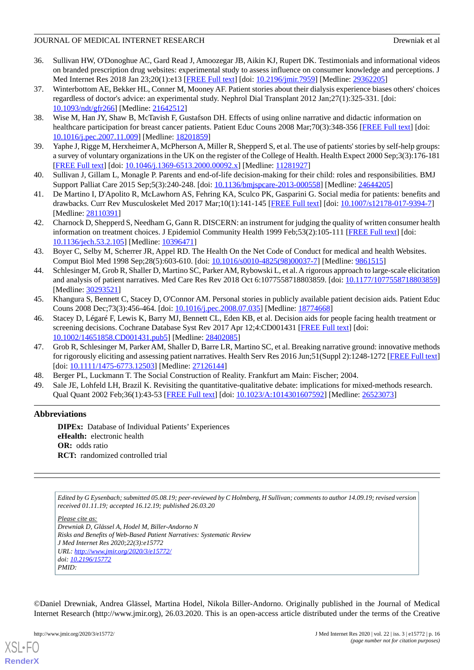- <span id="page-16-0"></span>36. Sullivan HW, O'Donoghue AC, Gard Read J, Amoozegar JB, Aikin KJ, Rupert DK. Testimonials and informational videos on branded prescription drug websites: experimental study to assess influence on consumer knowledge and perceptions. J Med Internet Res 2018 Jan 23;20(1):e13 [\[FREE Full text\]](https://www.jmir.org/2018/1/e13/) [doi: [10.2196/jmir.7959\]](http://dx.doi.org/10.2196/jmir.7959) [Medline: [29362205\]](http://www.ncbi.nlm.nih.gov/entrez/query.fcgi?cmd=Retrieve&db=PubMed&list_uids=29362205&dopt=Abstract)
- <span id="page-16-1"></span>37. Winterbottom AE, Bekker HL, Conner M, Mooney AF. Patient stories about their dialysis experience biases others' choices regardless of doctor's advice: an experimental study. Nephrol Dial Transplant 2012 Jan;27(1):325-331. [doi: [10.1093/ndt/gfr266](http://dx.doi.org/10.1093/ndt/gfr266)] [Medline: [21642512\]](http://www.ncbi.nlm.nih.gov/entrez/query.fcgi?cmd=Retrieve&db=PubMed&list_uids=21642512&dopt=Abstract)
- <span id="page-16-2"></span>38. Wise M, Han JY, Shaw B, McTavish F, Gustafson DH. Effects of using online narrative and didactic information on healthcare participation for breast cancer patients. Patient Educ Couns 2008 Mar;70(3):348-356 [\[FREE Full text\]](http://europepmc.org/abstract/MED/18201859) [doi: [10.1016/j.pec.2007.11.009\]](http://dx.doi.org/10.1016/j.pec.2007.11.009) [Medline: [18201859](http://www.ncbi.nlm.nih.gov/entrez/query.fcgi?cmd=Retrieve&db=PubMed&list_uids=18201859&dopt=Abstract)]
- <span id="page-16-4"></span><span id="page-16-3"></span>39. Yaphe J, Rigge M, Herxheimer A, McPherson A, Miller R, Shepperd S, et al. The use of patients' stories by self-help groups: a survey of voluntary organizations in the UK on the register of the College of Health. Health Expect 2000 Sep;3(3):176-181 [[FREE Full text](http://europepmc.org/abstract/MED/11281927)] [doi: [10.1046/j.1369-6513.2000.00092.x\]](http://dx.doi.org/10.1046/j.1369-6513.2000.00092.x) [Medline: [11281927\]](http://www.ncbi.nlm.nih.gov/entrez/query.fcgi?cmd=Retrieve&db=PubMed&list_uids=11281927&dopt=Abstract)
- <span id="page-16-5"></span>40. Sullivan J, Gillam L, Monagle P. Parents and end-of-life decision-making for their child: roles and responsibilities. BMJ Support Palliat Care 2015 Sep;5(3):240-248. [doi: [10.1136/bmjspcare-2013-000558](http://dx.doi.org/10.1136/bmjspcare-2013-000558)] [Medline: [24644205](http://www.ncbi.nlm.nih.gov/entrez/query.fcgi?cmd=Retrieve&db=PubMed&list_uids=24644205&dopt=Abstract)]
- <span id="page-16-6"></span>41. De Martino I, D'Apolito R, McLawhorn AS, Fehring KA, Sculco PK, Gasparini G. Social media for patients: benefits and drawbacks. Curr Rev Musculoskelet Med 2017 Mar;10(1):141-145 [\[FREE Full text\]](http://europepmc.org/abstract/MED/28110391) [doi: [10.1007/s12178-017-9394-7](http://dx.doi.org/10.1007/s12178-017-9394-7)] [Medline: [28110391](http://www.ncbi.nlm.nih.gov/entrez/query.fcgi?cmd=Retrieve&db=PubMed&list_uids=28110391&dopt=Abstract)]
- <span id="page-16-7"></span>42. Charnock D, Shepperd S, Needham G, Gann R. DISCERN: an instrument for judging the quality of written consumer health information on treatment choices. J Epidemiol Community Health 1999 Feb: 53(2): 105-111 [[FREE Full text](http://jech.bmj.com/cgi/pmidlookup?view=long&pmid=10396471)] [doi: [10.1136/jech.53.2.105\]](http://dx.doi.org/10.1136/jech.53.2.105) [Medline: [10396471\]](http://www.ncbi.nlm.nih.gov/entrez/query.fcgi?cmd=Retrieve&db=PubMed&list_uids=10396471&dopt=Abstract)
- <span id="page-16-8"></span>43. Boyer C, Selby M, Scherrer JR, Appel RD. The Health On the Net Code of Conduct for medical and health Websites. Comput Biol Med 1998 Sep;28(5):603-610. [doi: [10.1016/s0010-4825\(98\)00037-7\]](http://dx.doi.org/10.1016/s0010-4825(98)00037-7) [Medline: [9861515\]](http://www.ncbi.nlm.nih.gov/entrez/query.fcgi?cmd=Retrieve&db=PubMed&list_uids=9861515&dopt=Abstract)
- <span id="page-16-9"></span>44. Schlesinger M, Grob R, Shaller D, Martino SC, Parker AM, Rybowski L, et al. A rigorous approach to large-scale elicitation and analysis of patient narratives. Med Care Res Rev 2018 Oct 6:1077558718803859. [doi: [10.1177/1077558718803859](http://dx.doi.org/10.1177/1077558718803859)] [Medline: [30293521](http://www.ncbi.nlm.nih.gov/entrez/query.fcgi?cmd=Retrieve&db=PubMed&list_uids=30293521&dopt=Abstract)]
- <span id="page-16-10"></span>45. Khangura S, Bennett C, Stacey D, O'Connor AM. Personal stories in publicly available patient decision aids. Patient Educ Couns 2008 Dec;73(3):456-464. [doi: [10.1016/j.pec.2008.07.035](http://dx.doi.org/10.1016/j.pec.2008.07.035)] [Medline: [18774668\]](http://www.ncbi.nlm.nih.gov/entrez/query.fcgi?cmd=Retrieve&db=PubMed&list_uids=18774668&dopt=Abstract)
- <span id="page-16-11"></span>46. Stacey D, Légaré F, Lewis K, Barry MJ, Bennett CL, Eden KB, et al. Decision aids for people facing health treatment or screening decisions. Cochrane Database Syst Rev 2017 Apr 12;4:CD001431 [[FREE Full text](http://europepmc.org/abstract/MED/28402085)] [doi: [10.1002/14651858.CD001431.pub5\]](http://dx.doi.org/10.1002/14651858.CD001431.pub5) [Medline: [28402085](http://www.ncbi.nlm.nih.gov/entrez/query.fcgi?cmd=Retrieve&db=PubMed&list_uids=28402085&dopt=Abstract)]
- <span id="page-16-13"></span><span id="page-16-12"></span>47. Grob R, Schlesinger M, Parker AM, Shaller D, Barre LR, Martino SC, et al. Breaking narrative ground: innovative methods for rigorously eliciting and assessing patient narratives. Health Serv Res 2016 Jun;51(Suppl 2):1248-1272 [[FREE Full text](http://europepmc.org/abstract/MED/27126144)] [doi: [10.1111/1475-6773.12503](http://dx.doi.org/10.1111/1475-6773.12503)] [Medline: [27126144\]](http://www.ncbi.nlm.nih.gov/entrez/query.fcgi?cmd=Retrieve&db=PubMed&list_uids=27126144&dopt=Abstract)
- 48. Berger PL, Luckmann T. The Social Construction of Reality. Frankfurt am Main: Fischer; 2004.
- 49. Sale JE, Lohfeld LH, Brazil K. Revisiting the quantitative-qualitative debate: implications for mixed-methods research. Qual Quant 2002 Feb;36(1):43-53 [\[FREE Full text\]](http://europepmc.org/abstract/MED/26523073) [doi: [10.1023/A:1014301607592](http://dx.doi.org/10.1023/A:1014301607592)] [Medline: [26523073\]](http://www.ncbi.nlm.nih.gov/entrez/query.fcgi?cmd=Retrieve&db=PubMed&list_uids=26523073&dopt=Abstract)

## **Abbreviations**

**DIPEx:** Database of Individual Patients' Experiences **eHealth:** electronic health **OR:** odds ratio **RCT:** randomized controlled trial

*Edited by G Eysenbach; submitted 05.08.19; peer-reviewed by C Holmberg, H Sullivan; comments to author 14.09.19; revised version received 01.11.19; accepted 16.12.19; published 26.03.20*

*Please cite as:*

*Drewniak D, Glässel A, Hodel M, Biller-Andorno N Risks and Benefits of Web-Based Patient Narratives: Systematic Review J Med Internet Res 2020;22(3):e15772 URL: <http://www.jmir.org/2020/3/e15772/> doi: [10.2196/15772](http://dx.doi.org/10.2196/15772) PMID:*

©Daniel Drewniak, Andrea Glässel, Martina Hodel, Nikola Biller-Andorno. Originally published in the Journal of Medical Internet Research (http://www.jmir.org), 26.03.2020. This is an open-access article distributed under the terms of the Creative